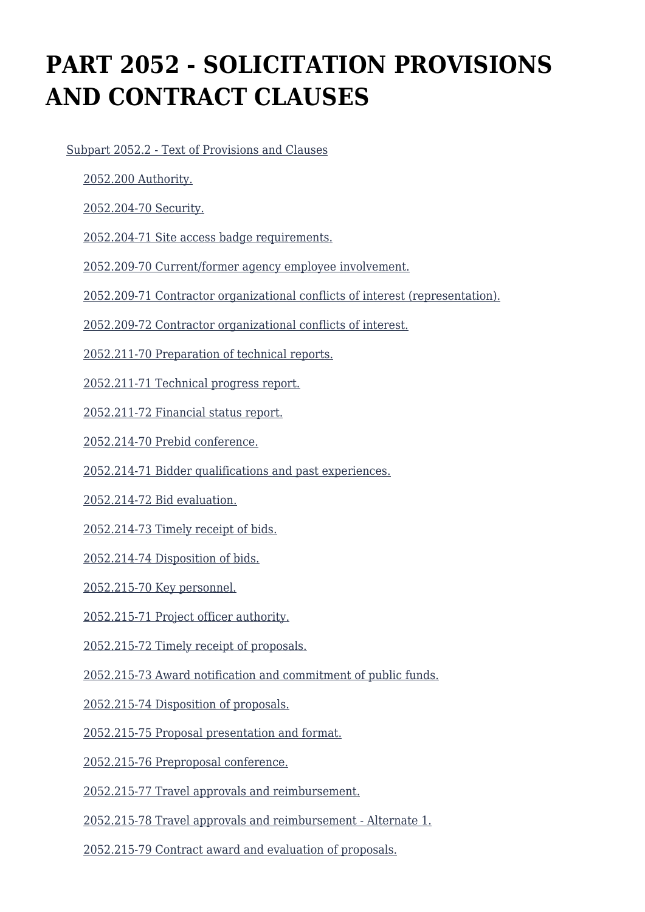# **PART 2052 - SOLICITATION PROVISIONS AND CONTRACT CLAUSES**

[Subpart 2052.2 - Text of Provisions and Clauses](https://origin-www.acquisition.gov/%5Brp:link:nrcar-part-2052%5D#Subpart_2052_2_T48_60638251)

[2052.200 Authority.](https://origin-www.acquisition.gov/%5Brp:link:nrcar-part-2052%5D#Section_2052_200_T48_6063825111)

[2052.204-70 Security.](https://origin-www.acquisition.gov/%5Brp:link:nrcar-part-2052%5D#Section_2052_204_70_T48_6063825112)

[2052.204-71 Site access badge requirements.](https://origin-www.acquisition.gov/%5Brp:link:nrcar-part-2052%5D#Section_2052_204_71_T48_6063825113)

[2052.209-70 Current/former agency employee involvement.](https://origin-www.acquisition.gov/%5Brp:link:nrcar-part-2052%5D#Section_2052_209_70_T48_6063825114)

[2052.209-71 Contractor organizational conflicts of interest \(representation\).](https://origin-www.acquisition.gov/%5Brp:link:nrcar-part-2052%5D#Section_2052_209_71_T48_6063825115)

[2052.209-72 Contractor organizational conflicts of interest.](https://origin-www.acquisition.gov/%5Brp:link:nrcar-part-2052%5D#Section_2052_209_72_T48_6063825116)

[2052.211-70 Preparation of technical reports.](https://origin-www.acquisition.gov/%5Brp:link:nrcar-part-2052%5D#Section_2052_211_70_T48_6063825117)

[2052.211-71 Technical progress report.](https://origin-www.acquisition.gov/%5Brp:link:nrcar-part-2052%5D#Section_2052_211_71_T48_6063825118)

[2052.211-72 Financial status report.](https://origin-www.acquisition.gov/%5Brp:link:nrcar-part-2052%5D#Section_2052_211_72_T48_6063825119)

[2052.214-70 Prebid conference.](https://origin-www.acquisition.gov/%5Brp:link:nrcar-part-2052%5D#Section_2052_214_70_T48_60638251110)

[2052.214-71 Bidder qualifications and past experiences.](https://origin-www.acquisition.gov/%5Brp:link:nrcar-part-2052%5D#Section_2052_214_71_T48_60638251111)

[2052.214-72 Bid evaluation.](https://origin-www.acquisition.gov/%5Brp:link:nrcar-part-2052%5D#Section_2052_214_72_T48_60638251112)

[2052.214-73 Timely receipt of bids.](https://origin-www.acquisition.gov/%5Brp:link:nrcar-part-2052%5D#Section_2052_214_73_T48_60638251113)

[2052.214-74 Disposition of bids.](https://origin-www.acquisition.gov/%5Brp:link:nrcar-part-2052%5D#Section_2052_214_74_T48_60638251114)

[2052.215-70 Key personnel.](https://origin-www.acquisition.gov/%5Brp:link:nrcar-part-2052%5D#Section_2052_215_70_T48_60638251115)

[2052.215-71 Project officer authority.](https://origin-www.acquisition.gov/%5Brp:link:nrcar-part-2052%5D#Section_2052_215_71_T48_60638251116)

[2052.215-72 Timely receipt of proposals.](https://origin-www.acquisition.gov/%5Brp:link:nrcar-part-2052%5D#Section_2052_215_72_T48_60638251117)

[2052.215-73 Award notification and commitment of public funds.](https://origin-www.acquisition.gov/%5Brp:link:nrcar-part-2052%5D#Section_2052_215_73_T48_60638251118)

[2052.215-74 Disposition of proposals.](https://origin-www.acquisition.gov/%5Brp:link:nrcar-part-2052%5D#Section_2052_215_74_T48_60638251119)

[2052.215-75 Proposal presentation and format.](https://origin-www.acquisition.gov/%5Brp:link:nrcar-part-2052%5D#Section_2052_215_75_T48_60638251120)

[2052.215-76 Preproposal conference.](https://origin-www.acquisition.gov/%5Brp:link:nrcar-part-2052%5D#Section_2052_215_76_T48_60638251121)

[2052.215-77 Travel approvals and reimbursement.](https://origin-www.acquisition.gov/%5Brp:link:nrcar-part-2052%5D#Section_2052_215_77_T48_60638251122)

[2052.215-78 Travel approvals and reimbursement - Alternate 1.](https://origin-www.acquisition.gov/%5Brp:link:nrcar-part-2052%5D#Section_2052_215_78_T48_60638251123)

[2052.215-79 Contract award and evaluation of proposals.](https://origin-www.acquisition.gov/%5Brp:link:nrcar-part-2052%5D#Section_2052_215_79_T48_60638251124)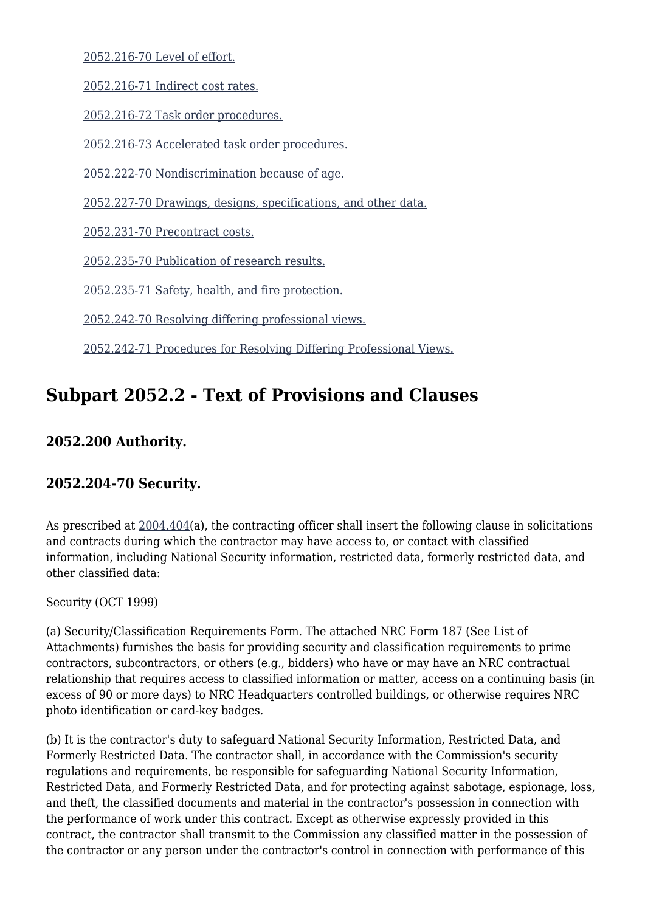[2052.216-70 Level of effort.](https://origin-www.acquisition.gov/%5Brp:link:nrcar-part-2052%5D#Section_2052_216_70_T48_60638251125)

[2052.216-71 Indirect cost rates.](https://origin-www.acquisition.gov/%5Brp:link:nrcar-part-2052%5D#Section_2052_216_71_T48_60638251126)

[2052.216-72 Task order procedures.](https://origin-www.acquisition.gov/%5Brp:link:nrcar-part-2052%5D#Section_2052_216_72_T48_60638251127)

[2052.216-73 Accelerated task order procedures.](https://origin-www.acquisition.gov/%5Brp:link:nrcar-part-2052%5D#Section_2052_216_73_T48_60638251128)

[2052.222-70 Nondiscrimination because of age.](https://origin-www.acquisition.gov/%5Brp:link:nrcar-part-2052%5D#Section_2052_222_70_T48_60638251129)

[2052.227-70 Drawings, designs, specifications, and other data.](https://origin-www.acquisition.gov/%5Brp:link:nrcar-part-2052%5D#Section_2052_227_70_T48_60638251130)

[2052.231-70 Precontract costs.](https://origin-www.acquisition.gov/%5Brp:link:nrcar-part-2052%5D#Section_2052_231_70_T48_60638251131)

[2052.235-70 Publication of research results.](https://origin-www.acquisition.gov/%5Brp:link:nrcar-part-2052%5D#Section_2052_235_70_T48_60638251132)

[2052.235-71 Safety, health, and fire protection.](https://origin-www.acquisition.gov/%5Brp:link:nrcar-part-2052%5D#Section_2052_235_71_T48_60638251133)

[2052.242-70 Resolving differing professional views.](https://origin-www.acquisition.gov/%5Brp:link:nrcar-part-2052%5D#Section_2052_242_70_T48_60638251134)

[2052.242-71 Procedures for Resolving Differing Professional Views.](https://origin-www.acquisition.gov/%5Brp:link:nrcar-part-2052%5D#Section_2052_242_71_T48_60638251135)

## **Subpart 2052.2 - Text of Provisions and Clauses**

#### **2052.200 Authority.**

#### **2052.204-70 Security.**

As prescribed at  $2004.404(a)$ , the contracting officer shall insert the following clause in solicitations and contracts during which the contractor may have access to, or contact with classified information, including National Security information, restricted data, formerly restricted data, and other classified data:

Security (OCT 1999)

(a) Security/Classification Requirements Form. The attached NRC Form 187 (See List of Attachments) furnishes the basis for providing security and classification requirements to prime contractors, subcontractors, or others (e.g., bidders) who have or may have an NRC contractual relationship that requires access to classified information or matter, access on a continuing basis (in excess of 90 or more days) to NRC Headquarters controlled buildings, or otherwise requires NRC photo identification or card-key badges.

(b) It is the contractor's duty to safeguard National Security Information, Restricted Data, and Formerly Restricted Data. The contractor shall, in accordance with the Commission's security regulations and requirements, be responsible for safeguarding National Security Information, Restricted Data, and Formerly Restricted Data, and for protecting against sabotage, espionage, loss, and theft, the classified documents and material in the contractor's possession in connection with the performance of work under this contract. Except as otherwise expressly provided in this contract, the contractor shall transmit to the Commission any classified matter in the possession of the contractor or any person under the contractor's control in connection with performance of this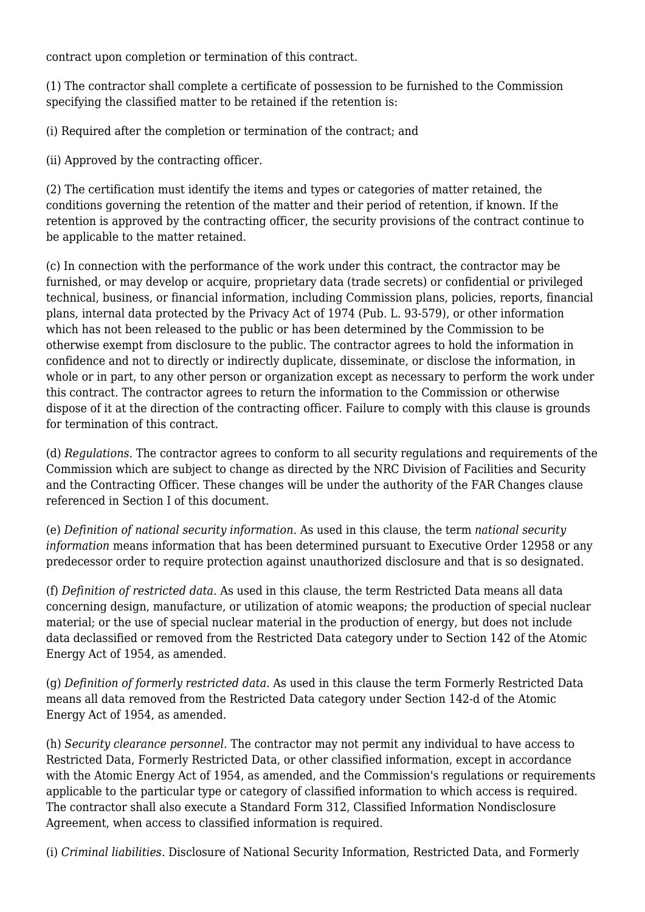contract upon completion or termination of this contract.

(1) The contractor shall complete a certificate of possession to be furnished to the Commission specifying the classified matter to be retained if the retention is:

(i) Required after the completion or termination of the contract; and

(ii) Approved by the contracting officer.

(2) The certification must identify the items and types or categories of matter retained, the conditions governing the retention of the matter and their period of retention, if known. If the retention is approved by the contracting officer, the security provisions of the contract continue to be applicable to the matter retained.

(c) In connection with the performance of the work under this contract, the contractor may be furnished, or may develop or acquire, proprietary data (trade secrets) or confidential or privileged technical, business, or financial information, including Commission plans, policies, reports, financial plans, internal data protected by the Privacy Act of 1974 (Pub. L. 93-579), or other information which has not been released to the public or has been determined by the Commission to be otherwise exempt from disclosure to the public. The contractor agrees to hold the information in confidence and not to directly or indirectly duplicate, disseminate, or disclose the information, in whole or in part, to any other person or organization except as necessary to perform the work under this contract. The contractor agrees to return the information to the Commission or otherwise dispose of it at the direction of the contracting officer. Failure to comply with this clause is grounds for termination of this contract.

(d) *Regulations.* The contractor agrees to conform to all security regulations and requirements of the Commission which are subject to change as directed by the NRC Division of Facilities and Security and the Contracting Officer. These changes will be under the authority of the FAR Changes clause referenced in Section I of this document.

(e) *Definition of national security information.* As used in this clause, the term *national security information* means information that has been determined pursuant to Executive Order 12958 or any predecessor order to require protection against unauthorized disclosure and that is so designated.

(f) *Definition of restricted data.* As used in this clause, the term Restricted Data means all data concerning design, manufacture, or utilization of atomic weapons; the production of special nuclear material; or the use of special nuclear material in the production of energy, but does not include data declassified or removed from the Restricted Data category under to Section 142 of the Atomic Energy Act of 1954, as amended.

(g) *Definition of formerly restricted data.* As used in this clause the term Formerly Restricted Data means all data removed from the Restricted Data category under Section 142-d of the Atomic Energy Act of 1954, as amended.

(h) *Security clearance personnel.* The contractor may not permit any individual to have access to Restricted Data, Formerly Restricted Data, or other classified information, except in accordance with the Atomic Energy Act of 1954, as amended, and the Commission's regulations or requirements applicable to the particular type or category of classified information to which access is required. The contractor shall also execute a Standard Form 312, Classified Information Nondisclosure Agreement, when access to classified information is required.

(i) *Criminal liabilities.* Disclosure of National Security Information, Restricted Data, and Formerly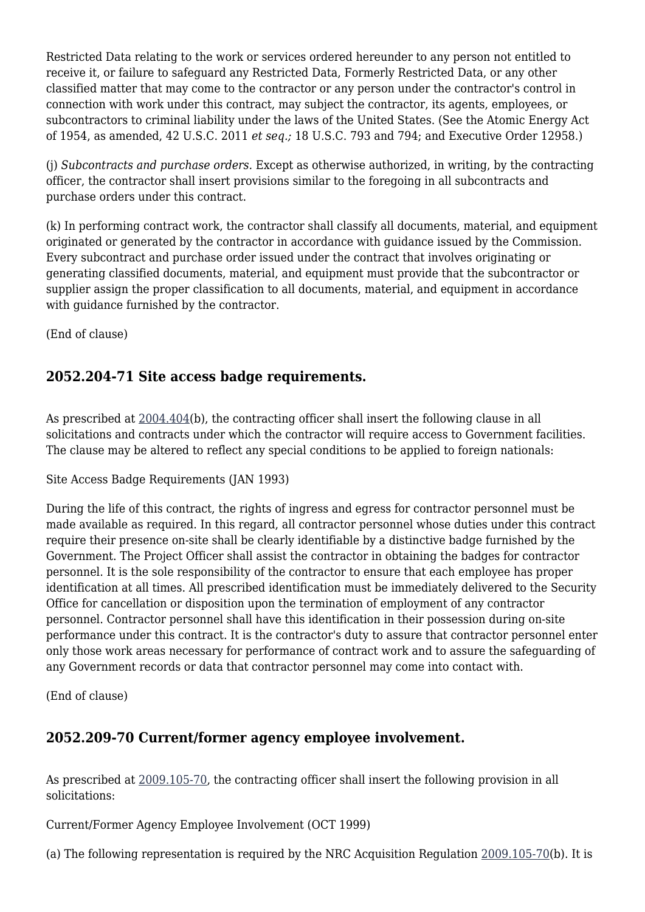Restricted Data relating to the work or services ordered hereunder to any person not entitled to receive it, or failure to safeguard any Restricted Data, Formerly Restricted Data, or any other classified matter that may come to the contractor or any person under the contractor's control in connection with work under this contract, may subject the contractor, its agents, employees, or subcontractors to criminal liability under the laws of the United States. (See the Atomic Energy Act of 1954, as amended, 42 U.S.C. 2011 *et seq.;* 18 U.S.C. 793 and 794; and Executive Order 12958.)

(j) *Subcontracts and purchase orders.* Except as otherwise authorized, in writing, by the contracting officer, the contractor shall insert provisions similar to the foregoing in all subcontracts and purchase orders under this contract.

(k) In performing contract work, the contractor shall classify all documents, material, and equipment originated or generated by the contractor in accordance with guidance issued by the Commission. Every subcontract and purchase order issued under the contract that involves originating or generating classified documents, material, and equipment must provide that the subcontractor or supplier assign the proper classification to all documents, material, and equipment in accordance with guidance furnished by the contractor.

(End of clause)

#### **2052.204-71 Site access badge requirements.**

As prescribed at  $2004.404(b)$ , the contracting officer shall insert the following clause in all solicitations and contracts under which the contractor will require access to Government facilities. The clause may be altered to reflect any special conditions to be applied to foreign nationals:

Site Access Badge Requirements (JAN 1993)

During the life of this contract, the rights of ingress and egress for contractor personnel must be made available as required. In this regard, all contractor personnel whose duties under this contract require their presence on-site shall be clearly identifiable by a distinctive badge furnished by the Government. The Project Officer shall assist the contractor in obtaining the badges for contractor personnel. It is the sole responsibility of the contractor to ensure that each employee has proper identification at all times. All prescribed identification must be immediately delivered to the Security Office for cancellation or disposition upon the termination of employment of any contractor personnel. Contractor personnel shall have this identification in their possession during on-site performance under this contract. It is the contractor's duty to assure that contractor personnel enter only those work areas necessary for performance of contract work and to assure the safeguarding of any Government records or data that contractor personnel may come into contact with.

(End of clause)

## **2052.209-70 Current/former agency employee involvement.**

As prescribed at [2009.105-70](https://origin-www.acquisition.gov/%5Brp:link:nrcar-part-2009%5D#Section_2009_105_70_T48_606327112), the contracting officer shall insert the following provision in all solicitations:

Current/Former Agency Employee Involvement (OCT 1999)

(a) The following representation is required by the NRC Acquisition Regulation [2009.105-70](https://origin-www.acquisition.gov/%5Brp:link:nrcar-part-2009%5D#Section_2009_105_70_T48_606327112)(b). It is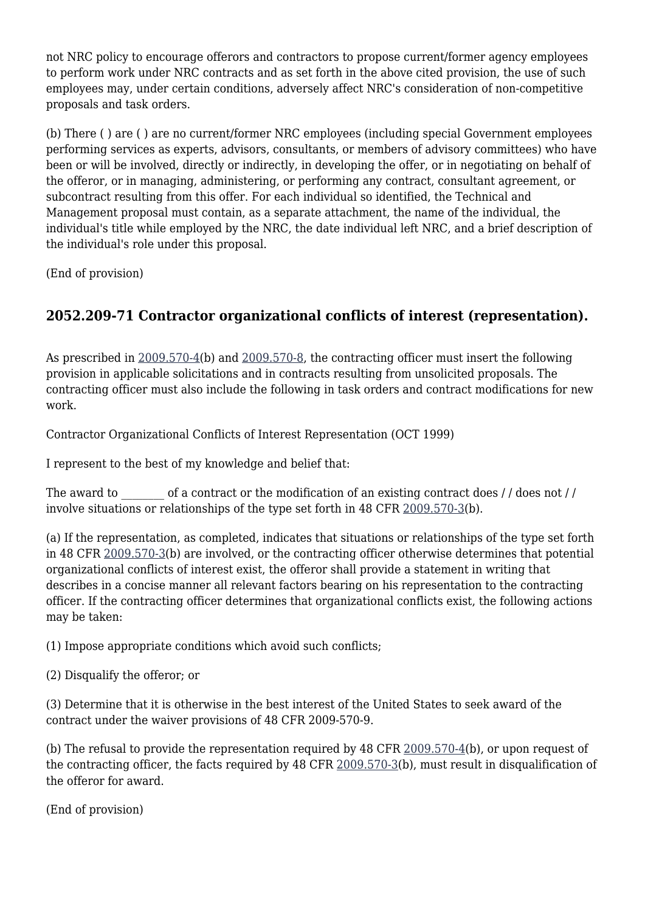not NRC policy to encourage offerors and contractors to propose current/former agency employees to perform work under NRC contracts and as set forth in the above cited provision, the use of such employees may, under certain conditions, adversely affect NRC's consideration of non-competitive proposals and task orders.

(b) There ( ) are ( ) are no current/former NRC employees (including special Government employees performing services as experts, advisors, consultants, or members of advisory committees) who have been or will be involved, directly or indirectly, in developing the offer, or in negotiating on behalf of the offeror, or in managing, administering, or performing any contract, consultant agreement, or subcontract resulting from this offer. For each individual so identified, the Technical and Management proposal must contain, as a separate attachment, the name of the individual, the individual's title while employed by the NRC, the date individual left NRC, and a brief description of the individual's role under this proposal.

(End of provision)

### **2052.209-71 Contractor organizational conflicts of interest (representation).**

As prescribed in [2009.570-4\(](https://origin-www.acquisition.gov/%5Brp:link:nrcar-part-2009%5D#Section_2009_570_4_T48_606327316)b) and [2009.570-8](https://origin-www.acquisition.gov/%5Brp:link:nrcar-part-2009%5D#Section_2009_570_8_T48_6063273110), the contracting officer must insert the following provision in applicable solicitations and in contracts resulting from unsolicited proposals. The contracting officer must also include the following in task orders and contract modifications for new work.

Contractor Organizational Conflicts of Interest Representation (OCT 1999)

I represent to the best of my knowledge and belief that:

The award to  $\qquad \qquad$  of a contract or the modification of an existing contract does // does not // involve situations or relationships of the type set forth in 48 CFR [2009.570-3\(](https://origin-www.acquisition.gov/%5Brp:link:nrcar-part-2009%5D#Section_2009_570_3_T48_606327315)b).

(a) If the representation, as completed, indicates that situations or relationships of the type set forth in 48 CFR [2009.570-3\(](https://origin-www.acquisition.gov/%5Brp:link:nrcar-part-2009%5D#Section_2009_570_3_T48_606327315)b) are involved, or the contracting officer otherwise determines that potential organizational conflicts of interest exist, the offeror shall provide a statement in writing that describes in a concise manner all relevant factors bearing on his representation to the contracting officer. If the contracting officer determines that organizational conflicts exist, the following actions may be taken:

(1) Impose appropriate conditions which avoid such conflicts;

(2) Disqualify the offeror; or

(3) Determine that it is otherwise in the best interest of the United States to seek award of the contract under the waiver provisions of 48 CFR 2009-570-9.

(b) The refusal to provide the representation required by 48 CFR  $2009.570-4(b)$  $2009.570-4(b)$ , or upon request of the contracting officer, the facts required by 48 CFR [2009.570-3\(](https://origin-www.acquisition.gov/%5Brp:link:nrcar-part-2009%5D#Section_2009_570_3_T48_606327315)b), must result in disqualification of the offeror for award.

(End of provision)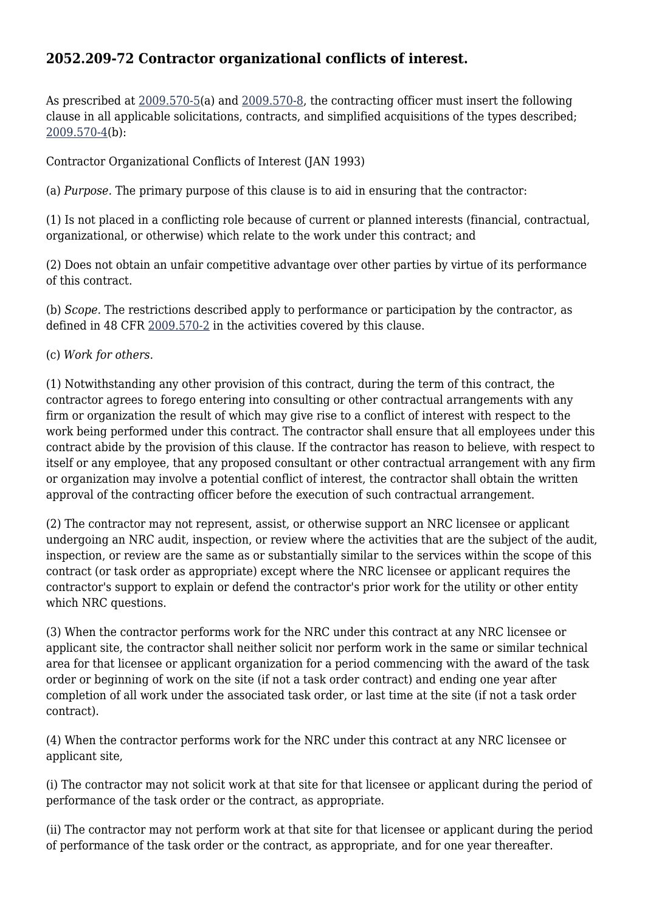#### **2052.209-72 Contractor organizational conflicts of interest.**

As prescribed at [2009.570-5\(](https://origin-www.acquisition.gov/%5Brp:link:nrcar-part-2009%5D#Section_2009_570_5_T48_606327317)a) and [2009.570-8](https://origin-www.acquisition.gov/%5Brp:link:nrcar-part-2009%5D#Section_2009_570_8_T48_6063273110), the contracting officer must insert the following clause in all applicable solicitations, contracts, and simplified acquisitions of the types described; [2009.570-4](https://origin-www.acquisition.gov/%5Brp:link:nrcar-part-2009%5D#Section_2009_570_4_T48_606327316)(b):

Contractor Organizational Conflicts of Interest (JAN 1993)

(a) *Purpose.* The primary purpose of this clause is to aid in ensuring that the contractor:

(1) Is not placed in a conflicting role because of current or planned interests (financial, contractual, organizational, or otherwise) which relate to the work under this contract; and

(2) Does not obtain an unfair competitive advantage over other parties by virtue of its performance of this contract.

(b) *Scope.* The restrictions described apply to performance or participation by the contractor, as defined in 48 CFR [2009.570-2](https://origin-www.acquisition.gov/%5Brp:link:nrcar-part-2009%5D#Section_2009_570_2_T48_606327314) in the activities covered by this clause.

(c) *Work for others.*

(1) Notwithstanding any other provision of this contract, during the term of this contract, the contractor agrees to forego entering into consulting or other contractual arrangements with any firm or organization the result of which may give rise to a conflict of interest with respect to the work being performed under this contract. The contractor shall ensure that all employees under this contract abide by the provision of this clause. If the contractor has reason to believe, with respect to itself or any employee, that any proposed consultant or other contractual arrangement with any firm or organization may involve a potential conflict of interest, the contractor shall obtain the written approval of the contracting officer before the execution of such contractual arrangement.

(2) The contractor may not represent, assist, or otherwise support an NRC licensee or applicant undergoing an NRC audit, inspection, or review where the activities that are the subject of the audit, inspection, or review are the same as or substantially similar to the services within the scope of this contract (or task order as appropriate) except where the NRC licensee or applicant requires the contractor's support to explain or defend the contractor's prior work for the utility or other entity which NRC questions.

(3) When the contractor performs work for the NRC under this contract at any NRC licensee or applicant site, the contractor shall neither solicit nor perform work in the same or similar technical area for that licensee or applicant organization for a period commencing with the award of the task order or beginning of work on the site (if not a task order contract) and ending one year after completion of all work under the associated task order, or last time at the site (if not a task order contract).

(4) When the contractor performs work for the NRC under this contract at any NRC licensee or applicant site,

(i) The contractor may not solicit work at that site for that licensee or applicant during the period of performance of the task order or the contract, as appropriate.

(ii) The contractor may not perform work at that site for that licensee or applicant during the period of performance of the task order or the contract, as appropriate, and for one year thereafter.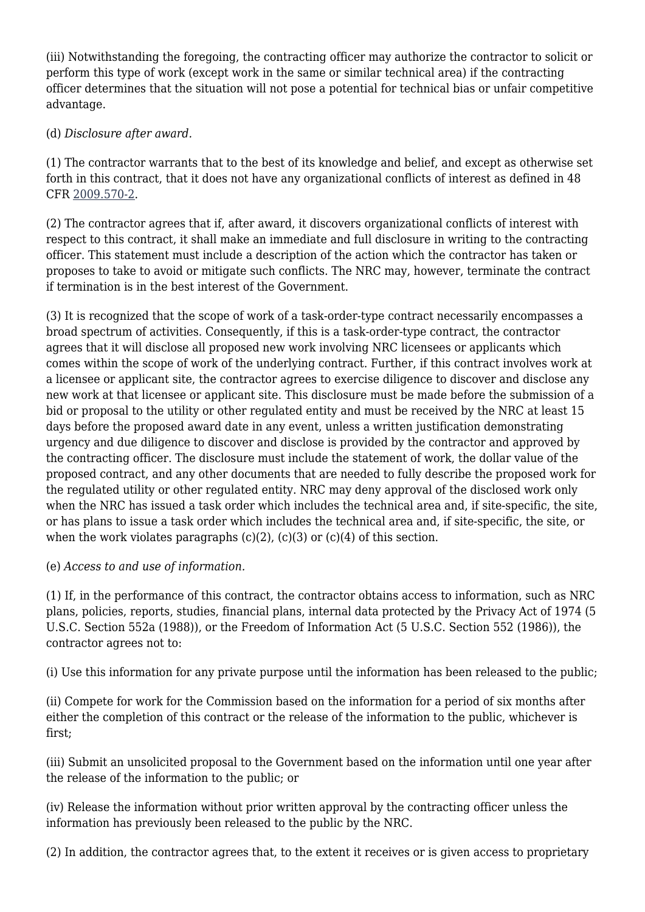(iii) Notwithstanding the foregoing, the contracting officer may authorize the contractor to solicit or perform this type of work (except work in the same or similar technical area) if the contracting officer determines that the situation will not pose a potential for technical bias or unfair competitive advantage.

#### (d) *Disclosure after award.*

(1) The contractor warrants that to the best of its knowledge and belief, and except as otherwise set forth in this contract, that it does not have any organizational conflicts of interest as defined in 48 CFR [2009.570-2](https://origin-www.acquisition.gov/%5Brp:link:nrcar-part-2009%5D#Section_2009_570_2_T48_606327314).

(2) The contractor agrees that if, after award, it discovers organizational conflicts of interest with respect to this contract, it shall make an immediate and full disclosure in writing to the contracting officer. This statement must include a description of the action which the contractor has taken or proposes to take to avoid or mitigate such conflicts. The NRC may, however, terminate the contract if termination is in the best interest of the Government.

(3) It is recognized that the scope of work of a task-order-type contract necessarily encompasses a broad spectrum of activities. Consequently, if this is a task-order-type contract, the contractor agrees that it will disclose all proposed new work involving NRC licensees or applicants which comes within the scope of work of the underlying contract. Further, if this contract involves work at a licensee or applicant site, the contractor agrees to exercise diligence to discover and disclose any new work at that licensee or applicant site. This disclosure must be made before the submission of a bid or proposal to the utility or other regulated entity and must be received by the NRC at least 15 days before the proposed award date in any event, unless a written justification demonstrating urgency and due diligence to discover and disclose is provided by the contractor and approved by the contracting officer. The disclosure must include the statement of work, the dollar value of the proposed contract, and any other documents that are needed to fully describe the proposed work for the regulated utility or other regulated entity. NRC may deny approval of the disclosed work only when the NRC has issued a task order which includes the technical area and, if site-specific, the site, or has plans to issue a task order which includes the technical area and, if site-specific, the site, or when the work violates paragraphs  $(c)(2)$ ,  $(c)(3)$  or  $(c)(4)$  of this section.

#### (e) *Access to and use of information.*

(1) If, in the performance of this contract, the contractor obtains access to information, such as NRC plans, policies, reports, studies, financial plans, internal data protected by the Privacy Act of 1974 (5 U.S.C. Section 552a (1988)), or the Freedom of Information Act (5 U.S.C. Section 552 (1986)), the contractor agrees not to:

(i) Use this information for any private purpose until the information has been released to the public;

(ii) Compete for work for the Commission based on the information for a period of six months after either the completion of this contract or the release of the information to the public, whichever is first;

(iii) Submit an unsolicited proposal to the Government based on the information until one year after the release of the information to the public; or

(iv) Release the information without prior written approval by the contracting officer unless the information has previously been released to the public by the NRC.

(2) In addition, the contractor agrees that, to the extent it receives or is given access to proprietary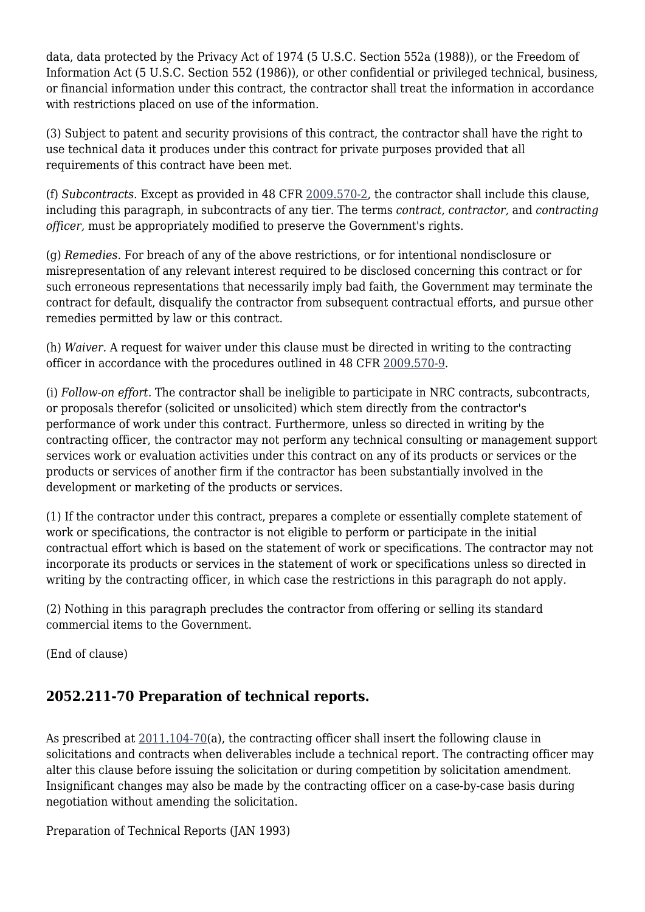data, data protected by the Privacy Act of 1974 (5 U.S.C. Section 552a (1988)), or the Freedom of Information Act (5 U.S.C. Section 552 (1986)), or other confidential or privileged technical, business, or financial information under this contract, the contractor shall treat the information in accordance with restrictions placed on use of the information.

(3) Subject to patent and security provisions of this contract, the contractor shall have the right to use technical data it produces under this contract for private purposes provided that all requirements of this contract have been met.

(f) *Subcontracts.* Except as provided in 48 CFR [2009.570-2](https://origin-www.acquisition.gov/%5Brp:link:nrcar-part-2009%5D#Section_2009_570_2_T48_606327314), the contractor shall include this clause, including this paragraph, in subcontracts of any tier. The terms *contract, contractor,* and *contracting officer,* must be appropriately modified to preserve the Government's rights.

(g) *Remedies.* For breach of any of the above restrictions, or for intentional nondisclosure or misrepresentation of any relevant interest required to be disclosed concerning this contract or for such erroneous representations that necessarily imply bad faith, the Government may terminate the contract for default, disqualify the contractor from subsequent contractual efforts, and pursue other remedies permitted by law or this contract.

(h) *Waiver.* A request for waiver under this clause must be directed in writing to the contracting officer in accordance with the procedures outlined in 48 CFR [2009.570-9.](https://origin-www.acquisition.gov/%5Brp:link:nrcar-part-2009%5D#Section_2009_570_9_T48_6063273111)

(i) *Follow-on effort.* The contractor shall be ineligible to participate in NRC contracts, subcontracts, or proposals therefor (solicited or unsolicited) which stem directly from the contractor's performance of work under this contract. Furthermore, unless so directed in writing by the contracting officer, the contractor may not perform any technical consulting or management support services work or evaluation activities under this contract on any of its products or services or the products or services of another firm if the contractor has been substantially involved in the development or marketing of the products or services.

(1) If the contractor under this contract, prepares a complete or essentially complete statement of work or specifications, the contractor is not eligible to perform or participate in the initial contractual effort which is based on the statement of work or specifications. The contractor may not incorporate its products or services in the statement of work or specifications unless so directed in writing by the contracting officer, in which case the restrictions in this paragraph do not apply.

(2) Nothing in this paragraph precludes the contractor from offering or selling its standard commercial items to the Government.

(End of clause)

#### **2052.211-70 Preparation of technical reports.**

As prescribed at [2011.104-70](https://origin-www.acquisition.gov/%5Brp:link:nrcar-part-2011%5D#Section_2011_104_70_T48_606328111)(a), the contracting officer shall insert the following clause in solicitations and contracts when deliverables include a technical report. The contracting officer may alter this clause before issuing the solicitation or during competition by solicitation amendment. Insignificant changes may also be made by the contracting officer on a case-by-case basis during negotiation without amending the solicitation.

Preparation of Technical Reports (JAN 1993)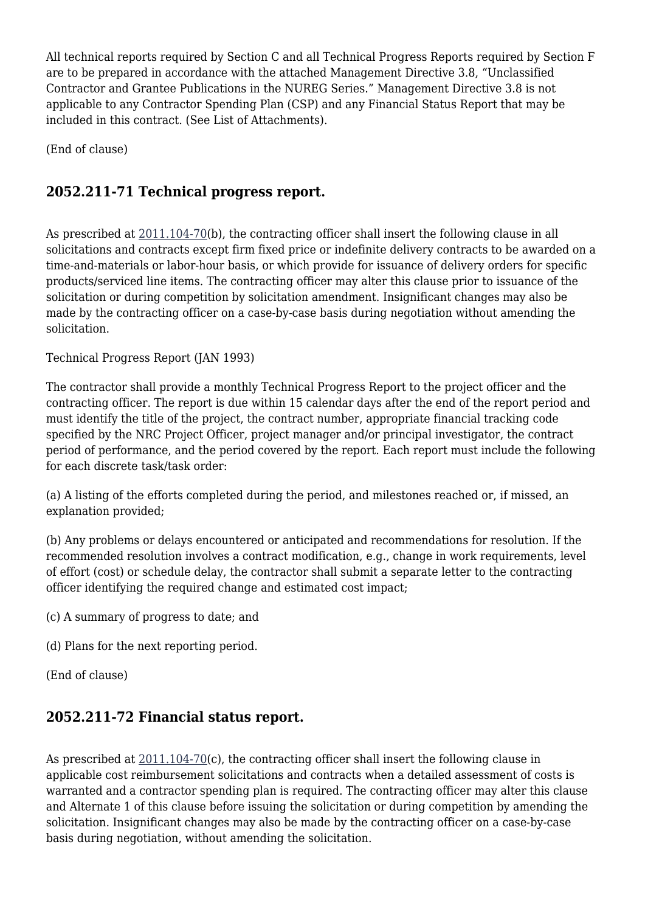All technical reports required by Section C and all Technical Progress Reports required by Section F are to be prepared in accordance with the attached Management Directive 3.8, "Unclassified Contractor and Grantee Publications in the NUREG Series." Management Directive 3.8 is not applicable to any Contractor Spending Plan (CSP) and any Financial Status Report that may be included in this contract. (See List of Attachments).

(End of clause)

## **2052.211-71 Technical progress report.**

As prescribed at [2011.104-70](https://origin-www.acquisition.gov/%5Brp:link:nrcar-part-2011%5D#Section_2011_104_70_T48_606328111)(b), the contracting officer shall insert the following clause in all solicitations and contracts except firm fixed price or indefinite delivery contracts to be awarded on a time-and-materials or labor-hour basis, or which provide for issuance of delivery orders for specific products/serviced line items. The contracting officer may alter this clause prior to issuance of the solicitation or during competition by solicitation amendment. Insignificant changes may also be made by the contracting officer on a case-by-case basis during negotiation without amending the solicitation.

Technical Progress Report (JAN 1993)

The contractor shall provide a monthly Technical Progress Report to the project officer and the contracting officer. The report is due within 15 calendar days after the end of the report period and must identify the title of the project, the contract number, appropriate financial tracking code specified by the NRC Project Officer, project manager and/or principal investigator, the contract period of performance, and the period covered by the report. Each report must include the following for each discrete task/task order:

(a) A listing of the efforts completed during the period, and milestones reached or, if missed, an explanation provided;

(b) Any problems or delays encountered or anticipated and recommendations for resolution. If the recommended resolution involves a contract modification, e.g., change in work requirements, level of effort (cost) or schedule delay, the contractor shall submit a separate letter to the contracting officer identifying the required change and estimated cost impact;

(c) A summary of progress to date; and

(d) Plans for the next reporting period.

(End of clause)

#### **2052.211-72 Financial status report.**

As prescribed at  $2011.104-70(c)$ , the contracting officer shall insert the following clause in applicable cost reimbursement solicitations and contracts when a detailed assessment of costs is warranted and a contractor spending plan is required. The contracting officer may alter this clause and Alternate 1 of this clause before issuing the solicitation or during competition by amending the solicitation. Insignificant changes may also be made by the contracting officer on a case-by-case basis during negotiation, without amending the solicitation.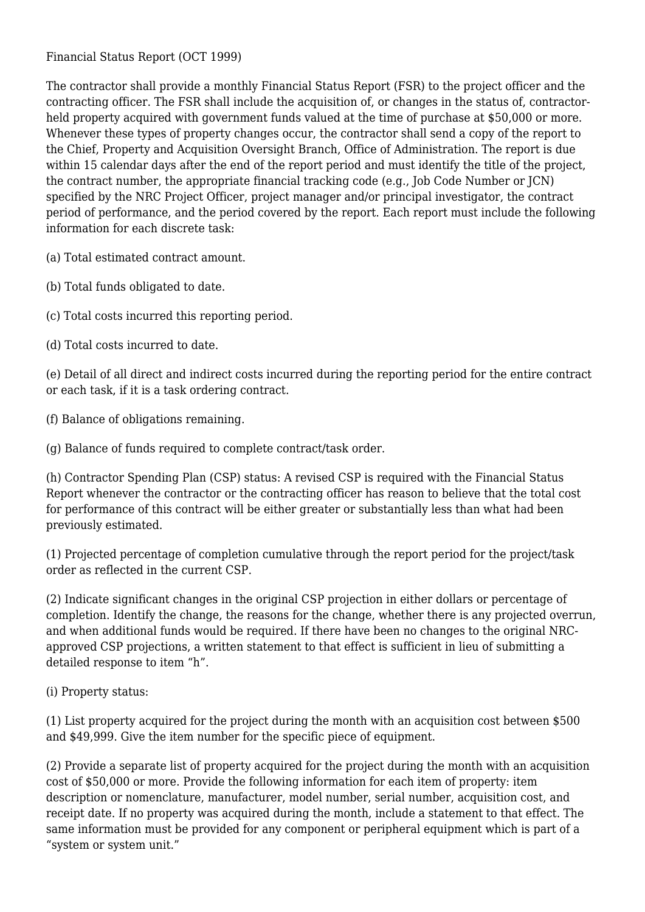Financial Status Report (OCT 1999)

The contractor shall provide a monthly Financial Status Report (FSR) to the project officer and the contracting officer. The FSR shall include the acquisition of, or changes in the status of, contractorheld property acquired with government funds valued at the time of purchase at \$50,000 or more. Whenever these types of property changes occur, the contractor shall send a copy of the report to the Chief, Property and Acquisition Oversight Branch, Office of Administration. The report is due within 15 calendar days after the end of the report period and must identify the title of the project, the contract number, the appropriate financial tracking code (e.g., Job Code Number or JCN) specified by the NRC Project Officer, project manager and/or principal investigator, the contract period of performance, and the period covered by the report. Each report must include the following information for each discrete task:

(a) Total estimated contract amount.

(b) Total funds obligated to date.

(c) Total costs incurred this reporting period.

(d) Total costs incurred to date.

(e) Detail of all direct and indirect costs incurred during the reporting period for the entire contract or each task, if it is a task ordering contract.

(f) Balance of obligations remaining.

(g) Balance of funds required to complete contract/task order.

(h) Contractor Spending Plan (CSP) status: A revised CSP is required with the Financial Status Report whenever the contractor or the contracting officer has reason to believe that the total cost for performance of this contract will be either greater or substantially less than what had been previously estimated.

(1) Projected percentage of completion cumulative through the report period for the project/task order as reflected in the current CSP.

(2) Indicate significant changes in the original CSP projection in either dollars or percentage of completion. Identify the change, the reasons for the change, whether there is any projected overrun, and when additional funds would be required. If there have been no changes to the original NRCapproved CSP projections, a written statement to that effect is sufficient in lieu of submitting a detailed response to item "h".

(i) Property status:

(1) List property acquired for the project during the month with an acquisition cost between \$500 and \$49,999. Give the item number for the specific piece of equipment.

(2) Provide a separate list of property acquired for the project during the month with an acquisition cost of \$50,000 or more. Provide the following information for each item of property: item description or nomenclature, manufacturer, model number, serial number, acquisition cost, and receipt date. If no property was acquired during the month, include a statement to that effect. The same information must be provided for any component or peripheral equipment which is part of a "system or system unit."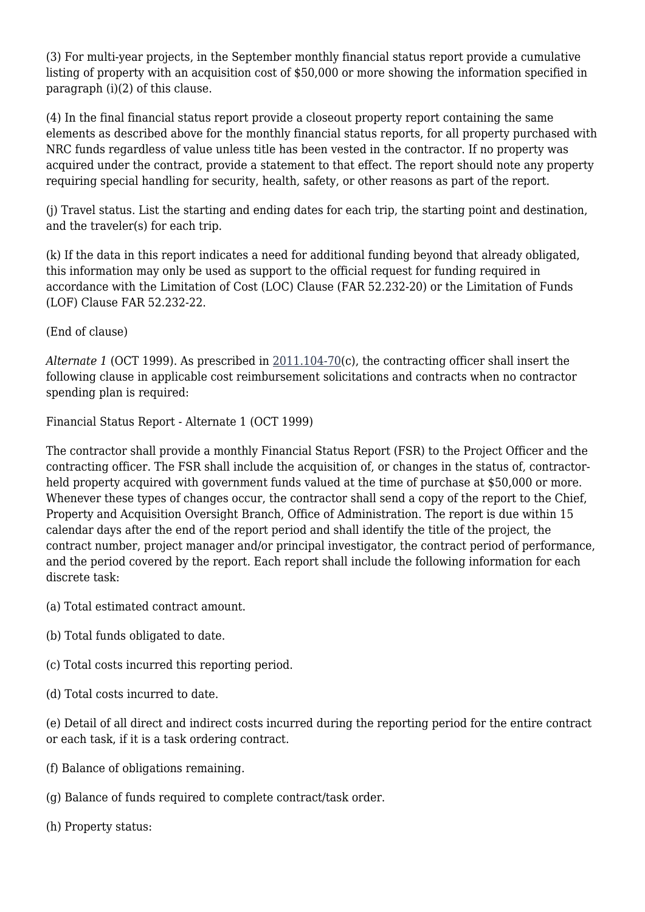(3) For multi-year projects, in the September monthly financial status report provide a cumulative listing of property with an acquisition cost of \$50,000 or more showing the information specified in paragraph (i)(2) of this clause.

(4) In the final financial status report provide a closeout property report containing the same elements as described above for the monthly financial status reports, for all property purchased with NRC funds regardless of value unless title has been vested in the contractor. If no property was acquired under the contract, provide a statement to that effect. The report should note any property requiring special handling for security, health, safety, or other reasons as part of the report.

(j) Travel status. List the starting and ending dates for each trip, the starting point and destination, and the traveler(s) for each trip.

(k) If the data in this report indicates a need for additional funding beyond that already obligated, this information may only be used as support to the official request for funding required in accordance with the Limitation of Cost (LOC) Clause (FAR 52.232-20) or the Limitation of Funds (LOF) Clause FAR 52.232-22.

(End of clause)

*Alternate 1* (OCT 1999). As prescribed in [2011.104-70\(](https://origin-www.acquisition.gov/%5Brp:link:nrcar-part-2011%5D#Section_2011_104_70_T48_606328111)c), the contracting officer shall insert the following clause in applicable cost reimbursement solicitations and contracts when no contractor spending plan is required:

Financial Status Report - Alternate 1 (OCT 1999)

The contractor shall provide a monthly Financial Status Report (FSR) to the Project Officer and the contracting officer. The FSR shall include the acquisition of, or changes in the status of, contractorheld property acquired with government funds valued at the time of purchase at \$50,000 or more. Whenever these types of changes occur, the contractor shall send a copy of the report to the Chief, Property and Acquisition Oversight Branch, Office of Administration. The report is due within 15 calendar days after the end of the report period and shall identify the title of the project, the contract number, project manager and/or principal investigator, the contract period of performance, and the period covered by the report. Each report shall include the following information for each discrete task:

(a) Total estimated contract amount.

- (b) Total funds obligated to date.
- (c) Total costs incurred this reporting period.
- (d) Total costs incurred to date.

(e) Detail of all direct and indirect costs incurred during the reporting period for the entire contract or each task, if it is a task ordering contract.

- (f) Balance of obligations remaining.
- (g) Balance of funds required to complete contract/task order.
- (h) Property status: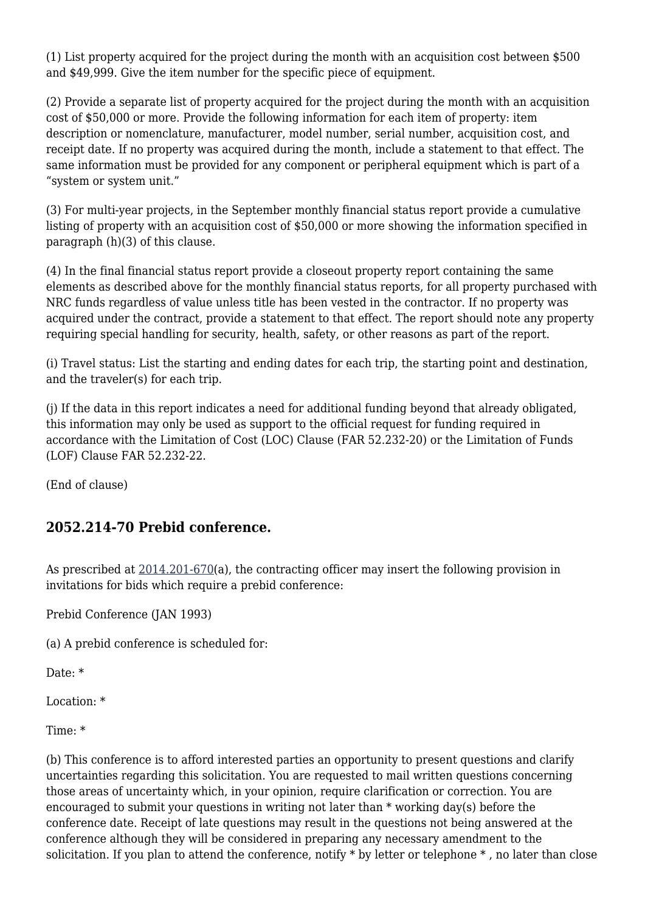(1) List property acquired for the project during the month with an acquisition cost between \$500 and \$49,999. Give the item number for the specific piece of equipment.

(2) Provide a separate list of property acquired for the project during the month with an acquisition cost of \$50,000 or more. Provide the following information for each item of property: item description or nomenclature, manufacturer, model number, serial number, acquisition cost, and receipt date. If no property was acquired during the month, include a statement to that effect. The same information must be provided for any component or peripheral equipment which is part of a "system or system unit."

(3) For multi-year projects, in the September monthly financial status report provide a cumulative listing of property with an acquisition cost of \$50,000 or more showing the information specified in paragraph (h)(3) of this clause.

(4) In the final financial status report provide a closeout property report containing the same elements as described above for the monthly financial status reports, for all property purchased with NRC funds regardless of value unless title has been vested in the contractor. If no property was acquired under the contract, provide a statement to that effect. The report should note any property requiring special handling for security, health, safety, or other reasons as part of the report.

(i) Travel status: List the starting and ending dates for each trip, the starting point and destination, and the traveler(s) for each trip.

(j) If the data in this report indicates a need for additional funding beyond that already obligated, this information may only be used as support to the official request for funding required in accordance with the Limitation of Cost (LOC) Clause (FAR 52.232-20) or the Limitation of Funds (LOF) Clause FAR 52.232-22.

(End of clause)

#### **2052.214-70 Prebid conference.**

As prescribed at  $2014.201-670$ (a), the contracting officer may insert the following provision in invitations for bids which require a prebid conference:

Prebid Conference (JAN 1993)

(a) A prebid conference is scheduled for:

Date: \*

Location: \*

Time: \*

(b) This conference is to afford interested parties an opportunity to present questions and clarify uncertainties regarding this solicitation. You are requested to mail written questions concerning those areas of uncertainty which, in your opinion, require clarification or correction. You are encouraged to submit your questions in writing not later than \* working day(s) before the conference date. Receipt of late questions may result in the questions not being answered at the conference although they will be considered in preparing any necessary amendment to the solicitation. If you plan to attend the conference, notify \* by letter or telephone \* , no later than close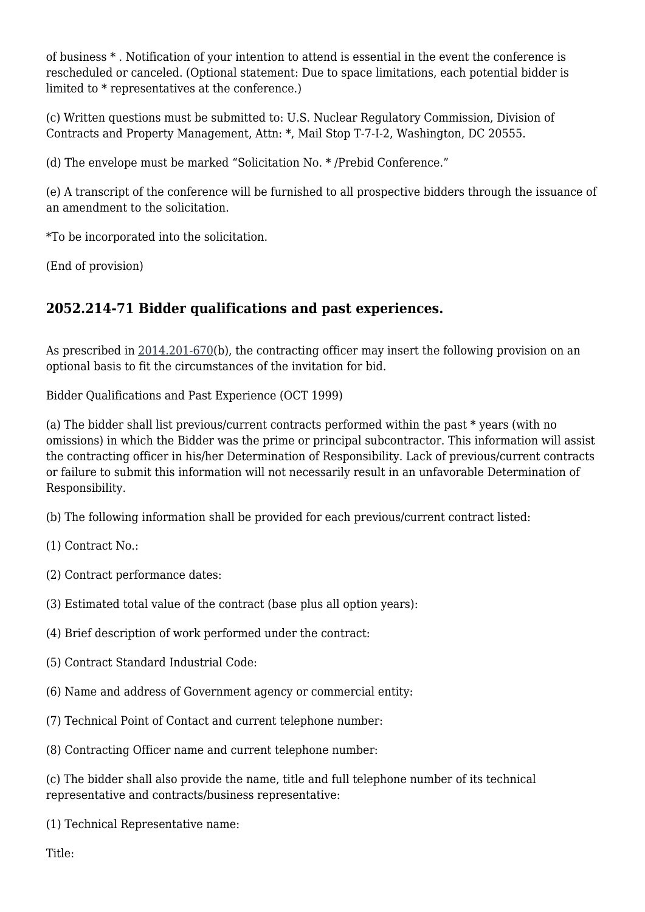of business \* . Notification of your intention to attend is essential in the event the conference is rescheduled or canceled. (Optional statement: Due to space limitations, each potential bidder is limited to \* representatives at the conference.)

(c) Written questions must be submitted to: U.S. Nuclear Regulatory Commission, Division of Contracts and Property Management, Attn: \*, Mail Stop T-7-I-2, Washington, DC 20555.

(d) The envelope must be marked "Solicitation No. \* /Prebid Conference."

(e) A transcript of the conference will be furnished to all prospective bidders through the issuance of an amendment to the solicitation.

\*To be incorporated into the solicitation.

(End of provision)

#### **2052.214-71 Bidder qualifications and past experiences.**

As prescribed in [2014.201-670](https://origin-www.acquisition.gov/%5Brp:link:nrcar-part-2014%5D#Section_2014_201_670_T48_6063310112)(b), the contracting officer may insert the following provision on an optional basis to fit the circumstances of the invitation for bid.

Bidder Qualifications and Past Experience (OCT 1999)

(a) The bidder shall list previous/current contracts performed within the past \* years (with no omissions) in which the Bidder was the prime or principal subcontractor. This information will assist the contracting officer in his/her Determination of Responsibility. Lack of previous/current contracts or failure to submit this information will not necessarily result in an unfavorable Determination of Responsibility.

(b) The following information shall be provided for each previous/current contract listed:

(1) Contract No.:

- (2) Contract performance dates:
- (3) Estimated total value of the contract (base plus all option years):
- (4) Brief description of work performed under the contract:
- (5) Contract Standard Industrial Code:
- (6) Name and address of Government agency or commercial entity:
- (7) Technical Point of Contact and current telephone number:
- (8) Contracting Officer name and current telephone number:

(c) The bidder shall also provide the name, title and full telephone number of its technical representative and contracts/business representative:

(1) Technical Representative name:

Title: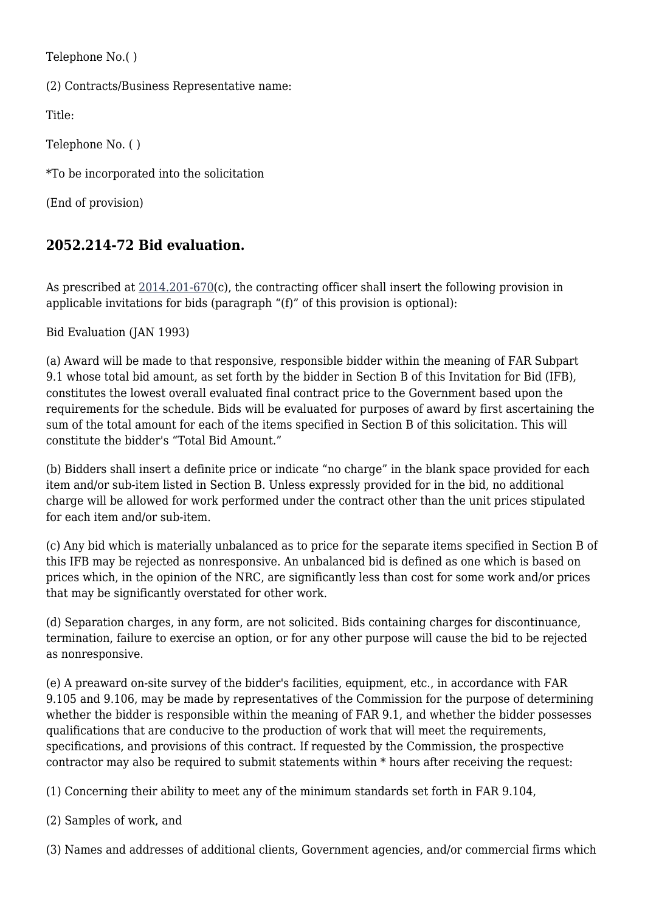Telephone No.( )

(2) Contracts/Business Representative name:

Title:

Telephone No. ( )

\*To be incorporated into the solicitation

(End of provision)

### **2052.214-72 Bid evaluation.**

As prescribed at  $2014.201-670(c)$ , the contracting officer shall insert the following provision in applicable invitations for bids (paragraph "(f)" of this provision is optional):

Bid Evaluation (JAN 1993)

(a) Award will be made to that responsive, responsible bidder within the meaning of FAR Subpart 9.1 whose total bid amount, as set forth by the bidder in Section B of this Invitation for Bid (IFB), constitutes the lowest overall evaluated final contract price to the Government based upon the requirements for the schedule. Bids will be evaluated for purposes of award by first ascertaining the sum of the total amount for each of the items specified in Section B of this solicitation. This will constitute the bidder's "Total Bid Amount."

(b) Bidders shall insert a definite price or indicate "no charge" in the blank space provided for each item and/or sub-item listed in Section B. Unless expressly provided for in the bid, no additional charge will be allowed for work performed under the contract other than the unit prices stipulated for each item and/or sub-item.

(c) Any bid which is materially unbalanced as to price for the separate items specified in Section B of this IFB may be rejected as nonresponsive. An unbalanced bid is defined as one which is based on prices which, in the opinion of the NRC, are significantly less than cost for some work and/or prices that may be significantly overstated for other work.

(d) Separation charges, in any form, are not solicited. Bids containing charges for discontinuance, termination, failure to exercise an option, or for any other purpose will cause the bid to be rejected as nonresponsive.

(e) A preaward on-site survey of the bidder's facilities, equipment, etc., in accordance with FAR 9.105 and 9.106, may be made by representatives of the Commission for the purpose of determining whether the bidder is responsible within the meaning of FAR 9.1, and whether the bidder possesses qualifications that are conducive to the production of work that will meet the requirements, specifications, and provisions of this contract. If requested by the Commission, the prospective contractor may also be required to submit statements within \* hours after receiving the request:

(1) Concerning their ability to meet any of the minimum standards set forth in FAR 9.104,

(2) Samples of work, and

(3) Names and addresses of additional clients, Government agencies, and/or commercial firms which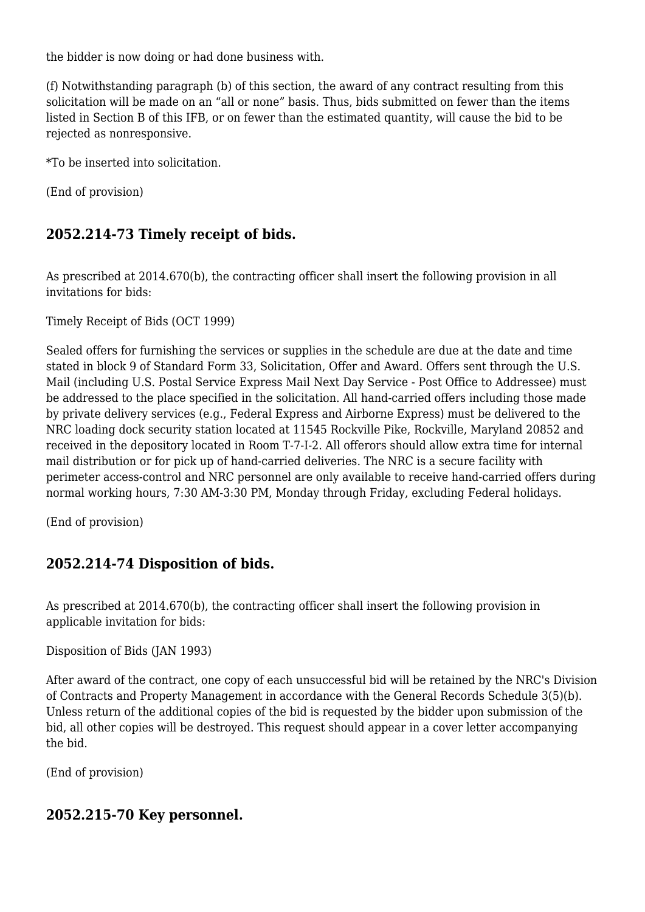the bidder is now doing or had done business with.

(f) Notwithstanding paragraph (b) of this section, the award of any contract resulting from this solicitation will be made on an "all or none" basis. Thus, bids submitted on fewer than the items listed in Section B of this IFB, or on fewer than the estimated quantity, will cause the bid to be rejected as nonresponsive.

\*To be inserted into solicitation.

(End of provision)

#### **2052.214-73 Timely receipt of bids.**

As prescribed at 2014.670(b), the contracting officer shall insert the following provision in all invitations for bids:

Timely Receipt of Bids (OCT 1999)

Sealed offers for furnishing the services or supplies in the schedule are due at the date and time stated in block 9 of Standard Form 33, Solicitation, Offer and Award. Offers sent through the U.S. Mail (including U.S. Postal Service Express Mail Next Day Service - Post Office to Addressee) must be addressed to the place specified in the solicitation. All hand-carried offers including those made by private delivery services (e.g., Federal Express and Airborne Express) must be delivered to the NRC loading dock security station located at 11545 Rockville Pike, Rockville, Maryland 20852 and received in the depository located in Room T-7-I-2. All offerors should allow extra time for internal mail distribution or for pick up of hand-carried deliveries. The NRC is a secure facility with perimeter access-control and NRC personnel are only available to receive hand-carried offers during normal working hours, 7:30 AM-3:30 PM, Monday through Friday, excluding Federal holidays.

(End of provision)

#### **2052.214-74 Disposition of bids.**

As prescribed at 2014.670(b), the contracting officer shall insert the following provision in applicable invitation for bids:

Disposition of Bids (JAN 1993)

After award of the contract, one copy of each unsuccessful bid will be retained by the NRC's Division of Contracts and Property Management in accordance with the General Records Schedule 3(5)(b). Unless return of the additional copies of the bid is requested by the bidder upon submission of the bid, all other copies will be destroyed. This request should appear in a cover letter accompanying the bid.

(End of provision)

#### **2052.215-70 Key personnel.**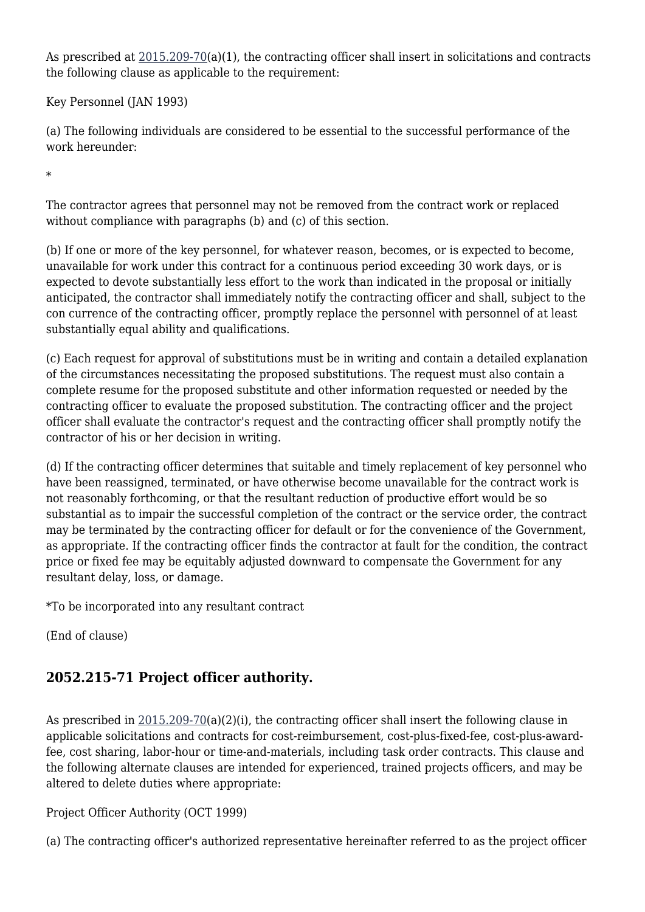As prescribed at [2015.209-70](https://origin-www.acquisition.gov/%5Brp:link:nrcar-part-2015%5D#Section_2015_209_70_T48_6063311111)(a)(1), the contracting officer shall insert in solicitations and contracts the following clause as applicable to the requirement:

Key Personnel (JAN 1993)

(a) The following individuals are considered to be essential to the successful performance of the work hereunder:

\*

The contractor agrees that personnel may not be removed from the contract work or replaced without compliance with paragraphs (b) and (c) of this section.

(b) If one or more of the key personnel, for whatever reason, becomes, or is expected to become, unavailable for work under this contract for a continuous period exceeding 30 work days, or is expected to devote substantially less effort to the work than indicated in the proposal or initially anticipated, the contractor shall immediately notify the contracting officer and shall, subject to the con currence of the contracting officer, promptly replace the personnel with personnel of at least substantially equal ability and qualifications.

(c) Each request for approval of substitutions must be in writing and contain a detailed explanation of the circumstances necessitating the proposed substitutions. The request must also contain a complete resume for the proposed substitute and other information requested or needed by the contracting officer to evaluate the proposed substitution. The contracting officer and the project officer shall evaluate the contractor's request and the contracting officer shall promptly notify the contractor of his or her decision in writing.

(d) If the contracting officer determines that suitable and timely replacement of key personnel who have been reassigned, terminated, or have otherwise become unavailable for the contract work is not reasonably forthcoming, or that the resultant reduction of productive effort would be so substantial as to impair the successful completion of the contract or the service order, the contract may be terminated by the contracting officer for default or for the convenience of the Government, as appropriate. If the contracting officer finds the contractor at fault for the condition, the contract price or fixed fee may be equitably adjusted downward to compensate the Government for any resultant delay, loss, or damage.

\*To be incorporated into any resultant contract

(End of clause)

#### **2052.215-71 Project officer authority.**

As prescribed in [2015.209-70\(](https://origin-www.acquisition.gov/%5Brp:link:nrcar-part-2015%5D#Section_2015_209_70_T48_6063311111)a)(2)(i), the contracting officer shall insert the following clause in applicable solicitations and contracts for cost-reimbursement, cost-plus-fixed-fee, cost-plus-awardfee, cost sharing, labor-hour or time-and-materials, including task order contracts. This clause and the following alternate clauses are intended for experienced, trained projects officers, and may be altered to delete duties where appropriate:

Project Officer Authority (OCT 1999)

(a) The contracting officer's authorized representative hereinafter referred to as the project officer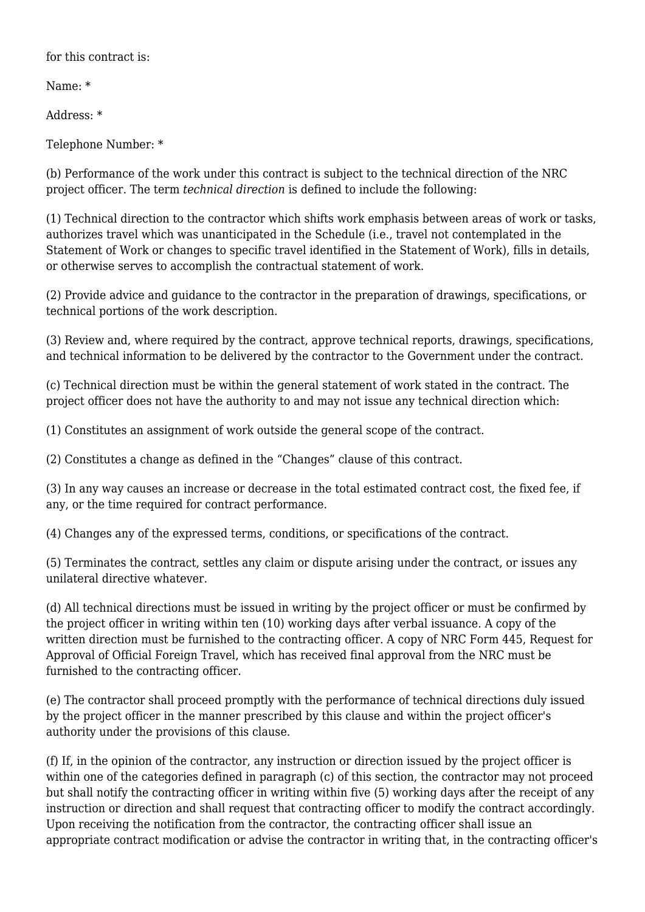for this contract is.

Name: \*

Address: \*

Telephone Number: \*

(b) Performance of the work under this contract is subject to the technical direction of the NRC project officer. The term *technical direction* is defined to include the following:

(1) Technical direction to the contractor which shifts work emphasis between areas of work or tasks, authorizes travel which was unanticipated in the Schedule (i.e., travel not contemplated in the Statement of Work or changes to specific travel identified in the Statement of Work), fills in details, or otherwise serves to accomplish the contractual statement of work.

(2) Provide advice and guidance to the contractor in the preparation of drawings, specifications, or technical portions of the work description.

(3) Review and, where required by the contract, approve technical reports, drawings, specifications, and technical information to be delivered by the contractor to the Government under the contract.

(c) Technical direction must be within the general statement of work stated in the contract. The project officer does not have the authority to and may not issue any technical direction which:

(1) Constitutes an assignment of work outside the general scope of the contract.

(2) Constitutes a change as defined in the "Changes" clause of this contract.

(3) In any way causes an increase or decrease in the total estimated contract cost, the fixed fee, if any, or the time required for contract performance.

(4) Changes any of the expressed terms, conditions, or specifications of the contract.

(5) Terminates the contract, settles any claim or dispute arising under the contract, or issues any unilateral directive whatever.

(d) All technical directions must be issued in writing by the project officer or must be confirmed by the project officer in writing within ten (10) working days after verbal issuance. A copy of the written direction must be furnished to the contracting officer. A copy of NRC Form 445, Request for Approval of Official Foreign Travel, which has received final approval from the NRC must be furnished to the contracting officer.

(e) The contractor shall proceed promptly with the performance of technical directions duly issued by the project officer in the manner prescribed by this clause and within the project officer's authority under the provisions of this clause.

(f) If, in the opinion of the contractor, any instruction or direction issued by the project officer is within one of the categories defined in paragraph (c) of this section, the contractor may not proceed but shall notify the contracting officer in writing within five (5) working days after the receipt of any instruction or direction and shall request that contracting officer to modify the contract accordingly. Upon receiving the notification from the contractor, the contracting officer shall issue an appropriate contract modification or advise the contractor in writing that, in the contracting officer's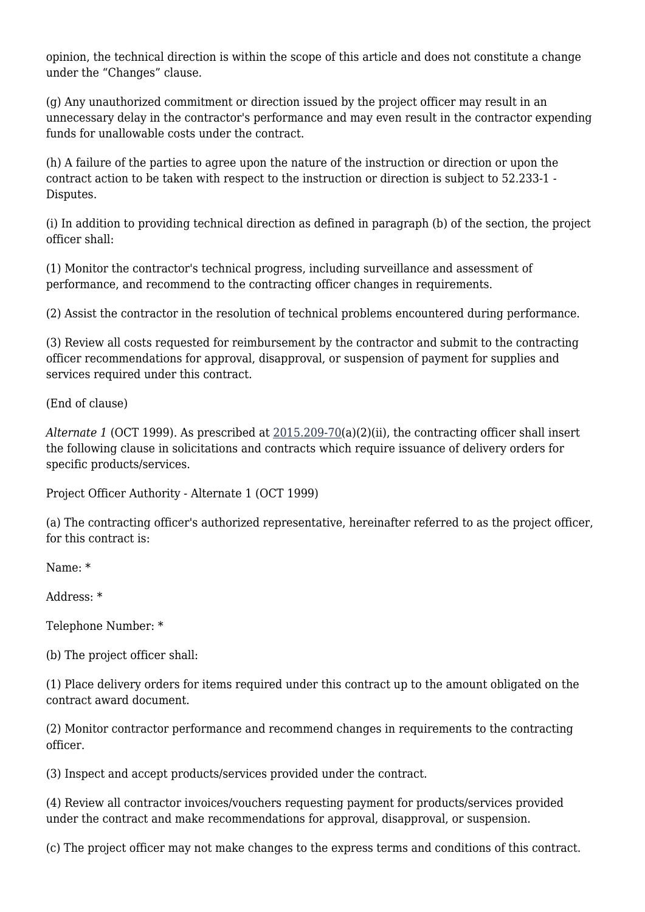opinion, the technical direction is within the scope of this article and does not constitute a change under the "Changes" clause.

(g) Any unauthorized commitment or direction issued by the project officer may result in an unnecessary delay in the contractor's performance and may even result in the contractor expending funds for unallowable costs under the contract.

(h) A failure of the parties to agree upon the nature of the instruction or direction or upon the contract action to be taken with respect to the instruction or direction is subject to 52.233-1 - Disputes.

(i) In addition to providing technical direction as defined in paragraph (b) of the section, the project officer shall:

(1) Monitor the contractor's technical progress, including surveillance and assessment of performance, and recommend to the contracting officer changes in requirements.

(2) Assist the contractor in the resolution of technical problems encountered during performance.

(3) Review all costs requested for reimbursement by the contractor and submit to the contracting officer recommendations for approval, disapproval, or suspension of payment for supplies and services required under this contract.

(End of clause)

*Alternate 1* (OCT 1999). As prescribed at [2015.209-70](https://origin-www.acquisition.gov/%5Brp:link:nrcar-part-2015%5D#Section_2015_209_70_T48_6063311111)(a)(2)(ii), the contracting officer shall insert the following clause in solicitations and contracts which require issuance of delivery orders for specific products/services.

Project Officer Authority - Alternate 1 (OCT 1999)

(a) The contracting officer's authorized representative, hereinafter referred to as the project officer, for this contract is:

Name: \*

Address: \*

Telephone Number: \*

(b) The project officer shall:

(1) Place delivery orders for items required under this contract up to the amount obligated on the contract award document.

(2) Monitor contractor performance and recommend changes in requirements to the contracting officer.

(3) Inspect and accept products/services provided under the contract.

(4) Review all contractor invoices/vouchers requesting payment for products/services provided under the contract and make recommendations for approval, disapproval, or suspension.

(c) The project officer may not make changes to the express terms and conditions of this contract.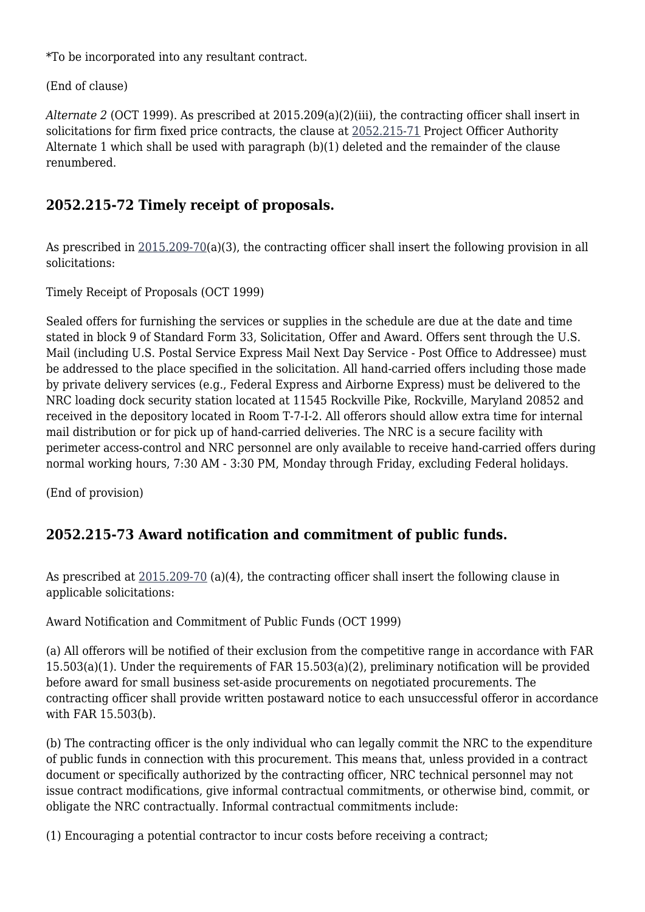\*To be incorporated into any resultant contract.

(End of clause)

*Alternate 2* (OCT 1999). As prescribed at 2015.209(a)(2)(iii), the contracting officer shall insert in solicitations for firm fixed price contracts, the clause at [2052.215-71](https://origin-www.acquisition.gov/%5Brp:link:nrcar-part-2052%5D#Section_2052_215_71_T48_60638251116) Project Officer Authority Alternate 1 which shall be used with paragraph (b)(1) deleted and the remainder of the clause renumbered.

#### **2052.215-72 Timely receipt of proposals.**

As prescribed in [2015.209-70\(](https://origin-www.acquisition.gov/%5Brp:link:nrcar-part-2015%5D#Section_2015_209_70_T48_6063311111)a)(3), the contracting officer shall insert the following provision in all solicitations:

Timely Receipt of Proposals (OCT 1999)

Sealed offers for furnishing the services or supplies in the schedule are due at the date and time stated in block 9 of Standard Form 33, Solicitation, Offer and Award. Offers sent through the U.S. Mail (including U.S. Postal Service Express Mail Next Day Service - Post Office to Addressee) must be addressed to the place specified in the solicitation. All hand-carried offers including those made by private delivery services (e.g., Federal Express and Airborne Express) must be delivered to the NRC loading dock security station located at 11545 Rockville Pike, Rockville, Maryland 20852 and received in the depository located in Room T-7-I-2. All offerors should allow extra time for internal mail distribution or for pick up of hand-carried deliveries. The NRC is a secure facility with perimeter access-control and NRC personnel are only available to receive hand-carried offers during normal working hours, 7:30 AM - 3:30 PM, Monday through Friday, excluding Federal holidays.

(End of provision)

#### **2052.215-73 Award notification and commitment of public funds.**

As prescribed at  $2015.209-70$  (a)(4), the contracting officer shall insert the following clause in applicable solicitations:

Award Notification and Commitment of Public Funds (OCT 1999)

(a) All offerors will be notified of their exclusion from the competitive range in accordance with FAR 15.503(a)(1). Under the requirements of FAR 15.503(a)(2), preliminary notification will be provided before award for small business set-aside procurements on negotiated procurements. The contracting officer shall provide written postaward notice to each unsuccessful offeror in accordance with FAR 15.503(b).

(b) The contracting officer is the only individual who can legally commit the NRC to the expenditure of public funds in connection with this procurement. This means that, unless provided in a contract document or specifically authorized by the contracting officer, NRC technical personnel may not issue contract modifications, give informal contractual commitments, or otherwise bind, commit, or obligate the NRC contractually. Informal contractual commitments include:

(1) Encouraging a potential contractor to incur costs before receiving a contract;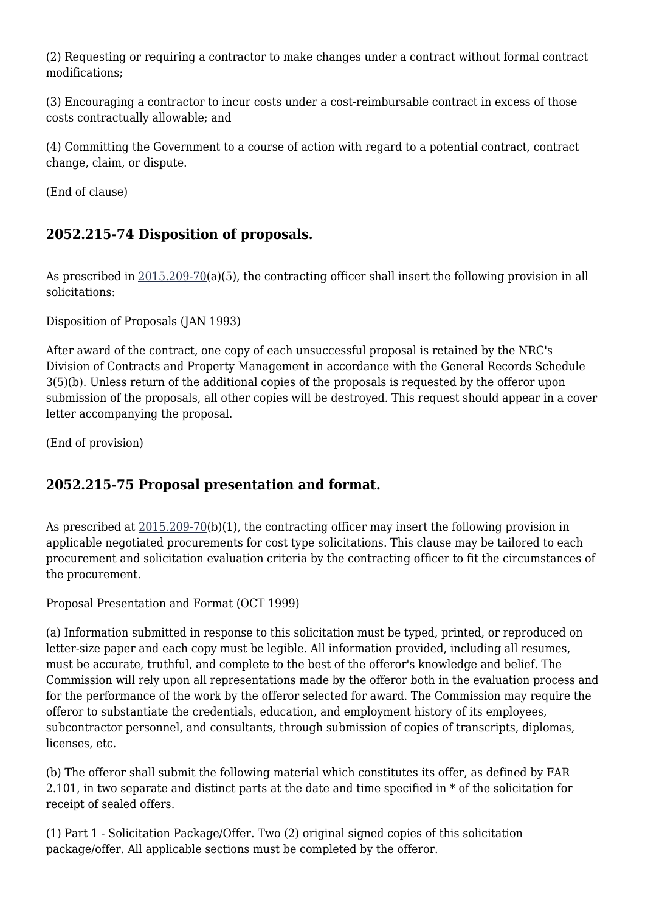(2) Requesting or requiring a contractor to make changes under a contract without formal contract modifications;

(3) Encouraging a contractor to incur costs under a cost-reimbursable contract in excess of those costs contractually allowable; and

(4) Committing the Government to a course of action with regard to a potential contract, contract change, claim, or dispute.

(End of clause)

#### **2052.215-74 Disposition of proposals.**

As prescribed in [2015.209-70\(](https://origin-www.acquisition.gov/%5Brp:link:nrcar-part-2015%5D#Section_2015_209_70_T48_6063311111)a)(5), the contracting officer shall insert the following provision in all solicitations:

Disposition of Proposals (JAN 1993)

After award of the contract, one copy of each unsuccessful proposal is retained by the NRC's Division of Contracts and Property Management in accordance with the General Records Schedule 3(5)(b). Unless return of the additional copies of the proposals is requested by the offeror upon submission of the proposals, all other copies will be destroyed. This request should appear in a cover letter accompanying the proposal.

(End of provision)

#### **2052.215-75 Proposal presentation and format.**

As prescribed at  $2015.209-70(b)(1)$ , the contracting officer may insert the following provision in applicable negotiated procurements for cost type solicitations. This clause may be tailored to each procurement and solicitation evaluation criteria by the contracting officer to fit the circumstances of the procurement.

Proposal Presentation and Format (OCT 1999)

(a) Information submitted in response to this solicitation must be typed, printed, or reproduced on letter-size paper and each copy must be legible. All information provided, including all resumes, must be accurate, truthful, and complete to the best of the offeror's knowledge and belief. The Commission will rely upon all representations made by the offeror both in the evaluation process and for the performance of the work by the offeror selected for award. The Commission may require the offeror to substantiate the credentials, education, and employment history of its employees, subcontractor personnel, and consultants, through submission of copies of transcripts, diplomas, licenses, etc.

(b) The offeror shall submit the following material which constitutes its offer, as defined by FAR 2.101, in two separate and distinct parts at the date and time specified in \* of the solicitation for receipt of sealed offers.

(1) Part 1 - Solicitation Package/Offer. Two (2) original signed copies of this solicitation package/offer. All applicable sections must be completed by the offeror.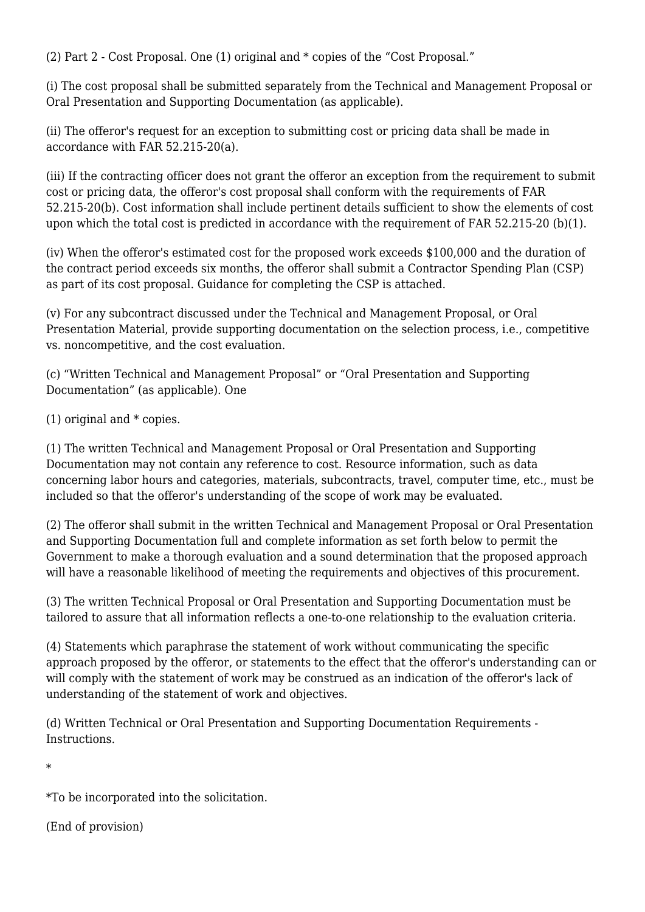(2) Part 2 - Cost Proposal. One (1) original and \* copies of the "Cost Proposal."

(i) The cost proposal shall be submitted separately from the Technical and Management Proposal or Oral Presentation and Supporting Documentation (as applicable).

(ii) The offeror's request for an exception to submitting cost or pricing data shall be made in accordance with FAR 52.215-20(a).

(iii) If the contracting officer does not grant the offeror an exception from the requirement to submit cost or pricing data, the offeror's cost proposal shall conform with the requirements of FAR 52.215-20(b). Cost information shall include pertinent details sufficient to show the elements of cost upon which the total cost is predicted in accordance with the requirement of FAR 52.215-20 (b)(1).

(iv) When the offeror's estimated cost for the proposed work exceeds \$100,000 and the duration of the contract period exceeds six months, the offeror shall submit a Contractor Spending Plan (CSP) as part of its cost proposal. Guidance for completing the CSP is attached.

(v) For any subcontract discussed under the Technical and Management Proposal, or Oral Presentation Material, provide supporting documentation on the selection process, i.e., competitive vs. noncompetitive, and the cost evaluation.

(c) "Written Technical and Management Proposal" or "Oral Presentation and Supporting Documentation" (as applicable). One

(1) original and \* copies.

(1) The written Technical and Management Proposal or Oral Presentation and Supporting Documentation may not contain any reference to cost. Resource information, such as data concerning labor hours and categories, materials, subcontracts, travel, computer time, etc., must be included so that the offeror's understanding of the scope of work may be evaluated.

(2) The offeror shall submit in the written Technical and Management Proposal or Oral Presentation and Supporting Documentation full and complete information as set forth below to permit the Government to make a thorough evaluation and a sound determination that the proposed approach will have a reasonable likelihood of meeting the requirements and objectives of this procurement.

(3) The written Technical Proposal or Oral Presentation and Supporting Documentation must be tailored to assure that all information reflects a one-to-one relationship to the evaluation criteria.

(4) Statements which paraphrase the statement of work without communicating the specific approach proposed by the offeror, or statements to the effect that the offeror's understanding can or will comply with the statement of work may be construed as an indication of the offeror's lack of understanding of the statement of work and objectives.

(d) Written Technical or Oral Presentation and Supporting Documentation Requirements - Instructions.

\*

\*To be incorporated into the solicitation.

(End of provision)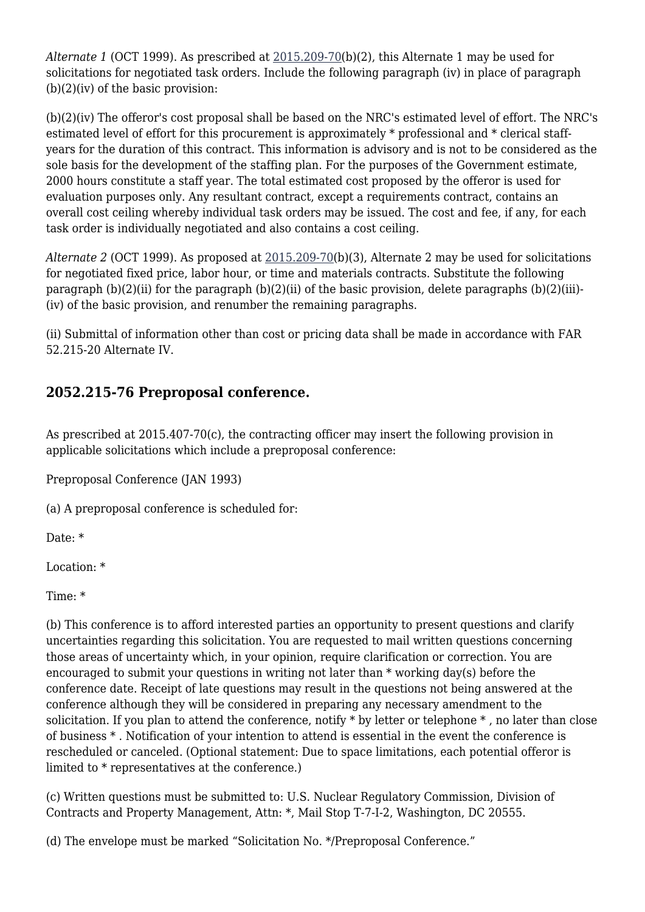*Alternate 1* (OCT 1999). As prescribed at [2015.209-70](https://origin-www.acquisition.gov/%5Brp:link:nrcar-part-2015%5D#Section_2015_209_70_T48_6063311111)(b)(2), this Alternate 1 may be used for solicitations for negotiated task orders. Include the following paragraph (iv) in place of paragraph (b)(2)(iv) of the basic provision:

(b)(2)(iv) The offeror's cost proposal shall be based on the NRC's estimated level of effort. The NRC's estimated level of effort for this procurement is approximately \* professional and \* clerical staffyears for the duration of this contract. This information is advisory and is not to be considered as the sole basis for the development of the staffing plan. For the purposes of the Government estimate, 2000 hours constitute a staff year. The total estimated cost proposed by the offeror is used for evaluation purposes only. Any resultant contract, except a requirements contract, contains an overall cost ceiling whereby individual task orders may be issued. The cost and fee, if any, for each task order is individually negotiated and also contains a cost ceiling.

*Alternate 2* (OCT 1999). As proposed at [2015.209-70\(](https://origin-www.acquisition.gov/%5Brp:link:nrcar-part-2015%5D#Section_2015_209_70_T48_6063311111)b)(3), Alternate 2 may be used for solicitations for negotiated fixed price, labor hour, or time and materials contracts. Substitute the following paragraph  $(b)(2)(ii)$  for the paragraph  $(b)(2)(ii)$  of the basic provision, delete paragraphs  $(b)(2)(iii)$ -(iv) of the basic provision, and renumber the remaining paragraphs.

(ii) Submittal of information other than cost or pricing data shall be made in accordance with FAR 52.215-20 Alternate IV.

### **2052.215-76 Preproposal conference.**

As prescribed at 2015.407-70(c), the contracting officer may insert the following provision in applicable solicitations which include a preproposal conference:

Preproposal Conference (JAN 1993)

(a) A preproposal conference is scheduled for:

Date: \*

Location: \*

Time: \*

(b) This conference is to afford interested parties an opportunity to present questions and clarify uncertainties regarding this solicitation. You are requested to mail written questions concerning those areas of uncertainty which, in your opinion, require clarification or correction. You are encouraged to submit your questions in writing not later than \* working day(s) before the conference date. Receipt of late questions may result in the questions not being answered at the conference although they will be considered in preparing any necessary amendment to the solicitation. If you plan to attend the conference, notify \* by letter or telephone \* , no later than close of business \* . Notification of your intention to attend is essential in the event the conference is rescheduled or canceled. (Optional statement: Due to space limitations, each potential offeror is limited to \* representatives at the conference.)

(c) Written questions must be submitted to: U.S. Nuclear Regulatory Commission, Division of Contracts and Property Management, Attn: \*, Mail Stop T-7-I-2, Washington, DC 20555.

(d) The envelope must be marked "Solicitation No. \*/Preproposal Conference."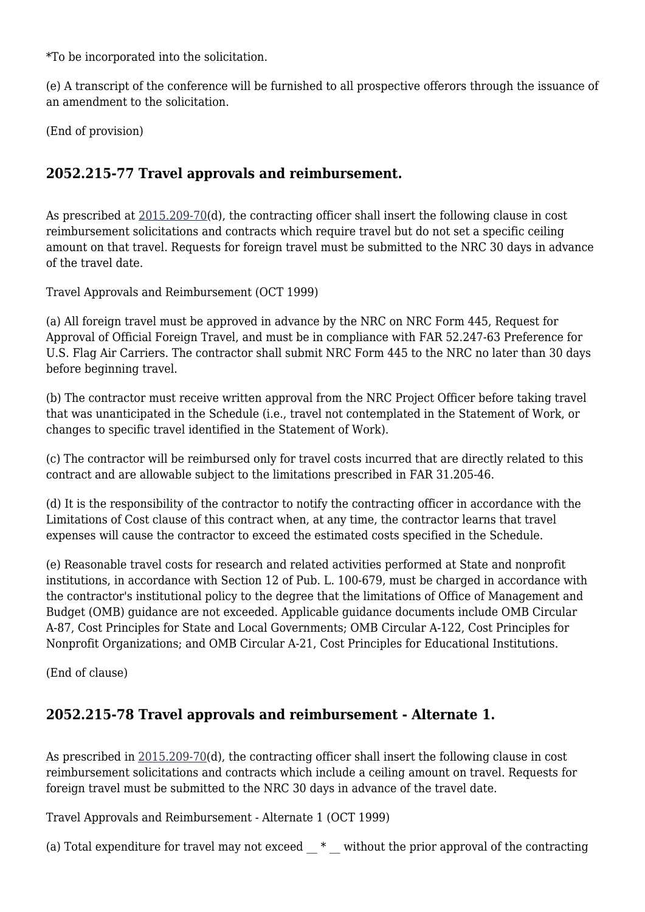\*To be incorporated into the solicitation.

(e) A transcript of the conference will be furnished to all prospective offerors through the issuance of an amendment to the solicitation.

(End of provision)

#### **2052.215-77 Travel approvals and reimbursement.**

As prescribed at [2015.209-70](https://origin-www.acquisition.gov/%5Brp:link:nrcar-part-2015%5D#Section_2015_209_70_T48_6063311111)(d), the contracting officer shall insert the following clause in cost reimbursement solicitations and contracts which require travel but do not set a specific ceiling amount on that travel. Requests for foreign travel must be submitted to the NRC 30 days in advance of the travel date.

Travel Approvals and Reimbursement (OCT 1999)

(a) All foreign travel must be approved in advance by the NRC on NRC Form 445, Request for Approval of Official Foreign Travel, and must be in compliance with FAR 52.247-63 Preference for U.S. Flag Air Carriers. The contractor shall submit NRC Form 445 to the NRC no later than 30 days before beginning travel.

(b) The contractor must receive written approval from the NRC Project Officer before taking travel that was unanticipated in the Schedule (i.e., travel not contemplated in the Statement of Work, or changes to specific travel identified in the Statement of Work).

(c) The contractor will be reimbursed only for travel costs incurred that are directly related to this contract and are allowable subject to the limitations prescribed in FAR 31.205-46.

(d) It is the responsibility of the contractor to notify the contracting officer in accordance with the Limitations of Cost clause of this contract when, at any time, the contractor learns that travel expenses will cause the contractor to exceed the estimated costs specified in the Schedule.

(e) Reasonable travel costs for research and related activities performed at State and nonprofit institutions, in accordance with Section 12 of Pub. L. 100-679, must be charged in accordance with the contractor's institutional policy to the degree that the limitations of Office of Management and Budget (OMB) guidance are not exceeded. Applicable guidance documents include OMB Circular A-87, Cost Principles for State and Local Governments; OMB Circular A-122, Cost Principles for Nonprofit Organizations; and OMB Circular A-21, Cost Principles for Educational Institutions.

(End of clause)

#### **2052.215-78 Travel approvals and reimbursement - Alternate 1.**

As prescribed in [2015.209-70\(](https://origin-www.acquisition.gov/%5Brp:link:nrcar-part-2015%5D#Section_2015_209_70_T48_6063311111)d), the contracting officer shall insert the following clause in cost reimbursement solicitations and contracts which include a ceiling amount on travel. Requests for foreign travel must be submitted to the NRC 30 days in advance of the travel date.

Travel Approvals and Reimbursement - Alternate 1 (OCT 1999)

(a) Total expenditure for travel may not exceed  $*$  without the prior approval of the contracting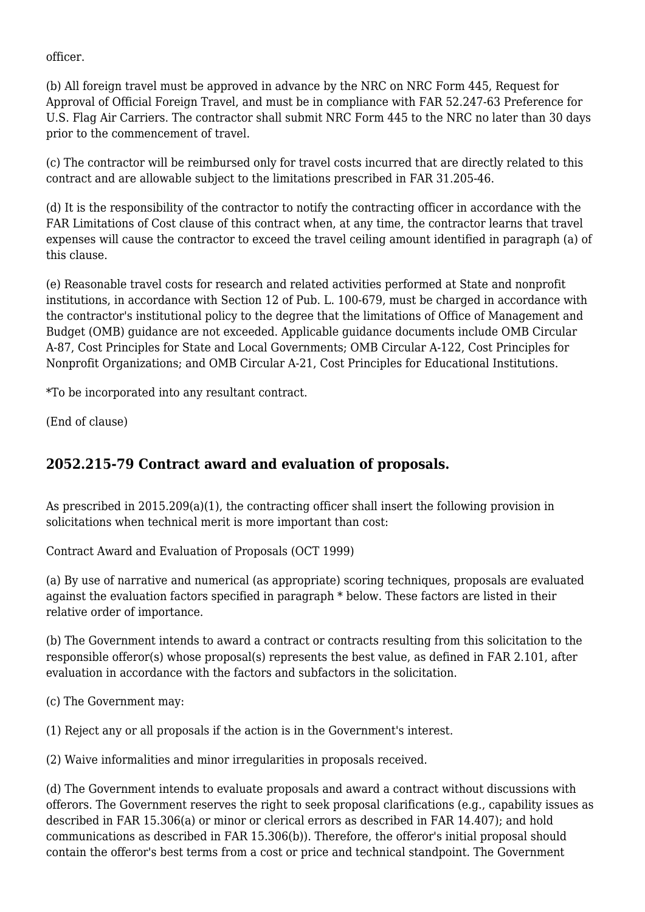officer.

(b) All foreign travel must be approved in advance by the NRC on NRC Form 445, Request for Approval of Official Foreign Travel, and must be in compliance with FAR 52.247-63 Preference for U.S. Flag Air Carriers. The contractor shall submit NRC Form 445 to the NRC no later than 30 days prior to the commencement of travel.

(c) The contractor will be reimbursed only for travel costs incurred that are directly related to this contract and are allowable subject to the limitations prescribed in FAR 31.205-46.

(d) It is the responsibility of the contractor to notify the contracting officer in accordance with the FAR Limitations of Cost clause of this contract when, at any time, the contractor learns that travel expenses will cause the contractor to exceed the travel ceiling amount identified in paragraph (a) of this clause.

(e) Reasonable travel costs for research and related activities performed at State and nonprofit institutions, in accordance with Section 12 of Pub. L. 100-679, must be charged in accordance with the contractor's institutional policy to the degree that the limitations of Office of Management and Budget (OMB) guidance are not exceeded. Applicable guidance documents include OMB Circular A-87, Cost Principles for State and Local Governments; OMB Circular A-122, Cost Principles for Nonprofit Organizations; and OMB Circular A-21, Cost Principles for Educational Institutions.

\*To be incorporated into any resultant contract.

(End of clause)

## **2052.215-79 Contract award and evaluation of proposals.**

As prescribed in 2015.209(a)(1), the contracting officer shall insert the following provision in solicitations when technical merit is more important than cost:

Contract Award and Evaluation of Proposals (OCT 1999)

(a) By use of narrative and numerical (as appropriate) scoring techniques, proposals are evaluated against the evaluation factors specified in paragraph \* below. These factors are listed in their relative order of importance.

(b) The Government intends to award a contract or contracts resulting from this solicitation to the responsible offeror(s) whose proposal(s) represents the best value, as defined in FAR 2.101, after evaluation in accordance with the factors and subfactors in the solicitation.

(c) The Government may:

(1) Reject any or all proposals if the action is in the Government's interest.

(2) Waive informalities and minor irregularities in proposals received.

(d) The Government intends to evaluate proposals and award a contract without discussions with offerors. The Government reserves the right to seek proposal clarifications (e.g., capability issues as described in FAR 15.306(a) or minor or clerical errors as described in FAR 14.407); and hold communications as described in FAR 15.306(b)). Therefore, the offeror's initial proposal should contain the offeror's best terms from a cost or price and technical standpoint. The Government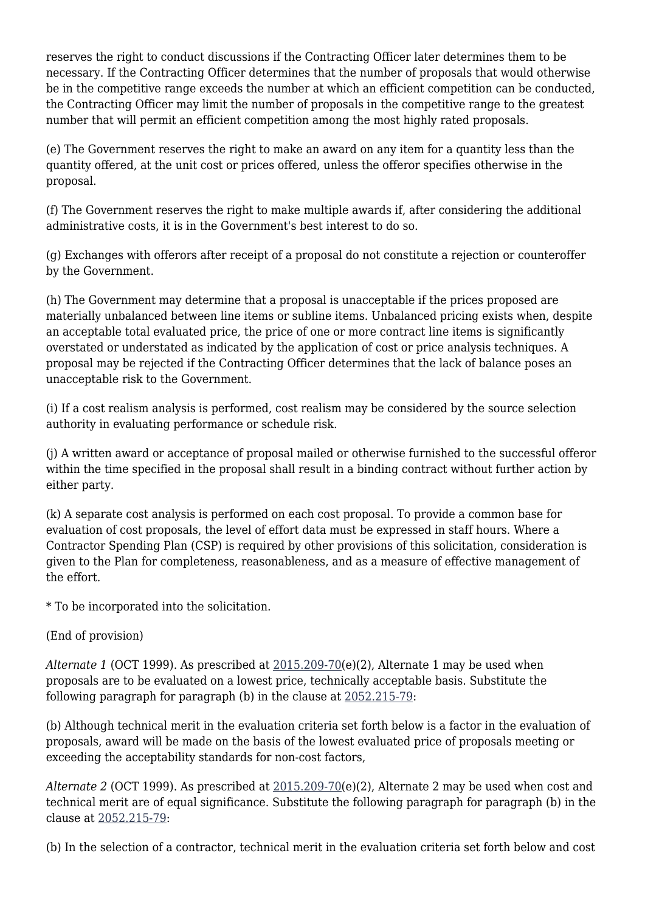reserves the right to conduct discussions if the Contracting Officer later determines them to be necessary. If the Contracting Officer determines that the number of proposals that would otherwise be in the competitive range exceeds the number at which an efficient competition can be conducted, the Contracting Officer may limit the number of proposals in the competitive range to the greatest number that will permit an efficient competition among the most highly rated proposals.

(e) The Government reserves the right to make an award on any item for a quantity less than the quantity offered, at the unit cost or prices offered, unless the offeror specifies otherwise in the proposal.

(f) The Government reserves the right to make multiple awards if, after considering the additional administrative costs, it is in the Government's best interest to do so.

(g) Exchanges with offerors after receipt of a proposal do not constitute a rejection or counteroffer by the Government.

(h) The Government may determine that a proposal is unacceptable if the prices proposed are materially unbalanced between line items or subline items. Unbalanced pricing exists when, despite an acceptable total evaluated price, the price of one or more contract line items is significantly overstated or understated as indicated by the application of cost or price analysis techniques. A proposal may be rejected if the Contracting Officer determines that the lack of balance poses an unacceptable risk to the Government.

(i) If a cost realism analysis is performed, cost realism may be considered by the source selection authority in evaluating performance or schedule risk.

(j) A written award or acceptance of proposal mailed or otherwise furnished to the successful offeror within the time specified in the proposal shall result in a binding contract without further action by either party.

(k) A separate cost analysis is performed on each cost proposal. To provide a common base for evaluation of cost proposals, the level of effort data must be expressed in staff hours. Where a Contractor Spending Plan (CSP) is required by other provisions of this solicitation, consideration is given to the Plan for completeness, reasonableness, and as a measure of effective management of the effort.

\* To be incorporated into the solicitation.

#### (End of provision)

*Alternate 1* (OCT 1999). As prescribed at [2015.209-70](https://origin-www.acquisition.gov/%5Brp:link:nrcar-part-2015%5D#Section_2015_209_70_T48_6063311111)(e)(2), Alternate 1 may be used when proposals are to be evaluated on a lowest price, technically acceptable basis. Substitute the following paragraph for paragraph (b) in the clause at [2052.215-79](https://origin-www.acquisition.gov/%5Brp:link:nrcar-part-2052%5D#Section_2052_215_79_T48_60638251124):

(b) Although technical merit in the evaluation criteria set forth below is a factor in the evaluation of proposals, award will be made on the basis of the lowest evaluated price of proposals meeting or exceeding the acceptability standards for non-cost factors,

*Alternate 2* (OCT 1999). As prescribed at [2015.209-70](https://origin-www.acquisition.gov/%5Brp:link:nrcar-part-2015%5D#Section_2015_209_70_T48_6063311111)(e)(2), Alternate 2 may be used when cost and technical merit are of equal significance. Substitute the following paragraph for paragraph (b) in the clause at [2052.215-79:](https://origin-www.acquisition.gov/%5Brp:link:nrcar-part-2052%5D#Section_2052_215_79_T48_60638251124)

(b) In the selection of a contractor, technical merit in the evaluation criteria set forth below and cost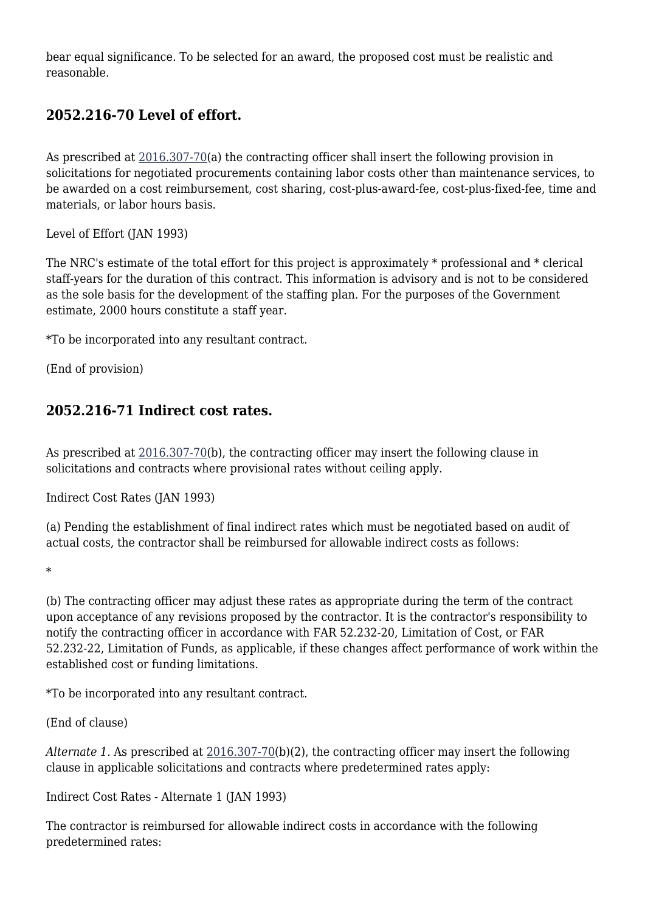bear equal significance. To be selected for an award, the proposed cost must be realistic and reasonable.

#### **2052.216-70 Level of effort.**

As prescribed at  $2016.307-70$ (a) the contracting officer shall insert the following provision in solicitations for negotiated procurements containing labor costs other than maintenance services, to be awarded on a cost reimbursement, cost sharing, cost-plus-award-fee, cost-plus-fixed-fee, time and materials, or labor hours basis.

Level of Effort (JAN 1993)

The NRC's estimate of the total effort for this project is approximately \* professional and \* clerical staff-years for the duration of this contract. This information is advisory and is not to be considered as the sole basis for the development of the staffing plan. For the purposes of the Government estimate, 2000 hours constitute a staff year.

\*To be incorporated into any resultant contract.

(End of provision)

#### **2052.216-71 Indirect cost rates.**

As prescribed at [2016.307-70](https://origin-www.acquisition.gov/%5Brp:link:nrcar-part-2016%5D#Section_2016_307_70_T48_6063312111)(b), the contracting officer may insert the following clause in solicitations and contracts where provisional rates without ceiling apply.

Indirect Cost Rates (JAN 1993)

(a) Pending the establishment of final indirect rates which must be negotiated based on audit of actual costs, the contractor shall be reimbursed for allowable indirect costs as follows:

\*

(b) The contracting officer may adjust these rates as appropriate during the term of the contract upon acceptance of any revisions proposed by the contractor. It is the contractor's responsibility to notify the contracting officer in accordance with FAR 52.232-20, Limitation of Cost, or FAR 52.232-22, Limitation of Funds, as applicable, if these changes affect performance of work within the established cost or funding limitations.

\*To be incorporated into any resultant contract.

(End of clause)

*Alternate 1.* As prescribed at [2016.307-70\(](https://origin-www.acquisition.gov/%5Brp:link:nrcar-part-2016%5D#Section_2016_307_70_T48_6063312111)b)(2), the contracting officer may insert the following clause in applicable solicitations and contracts where predetermined rates apply:

Indirect Cost Rates - Alternate 1 (JAN 1993)

The contractor is reimbursed for allowable indirect costs in accordance with the following predetermined rates: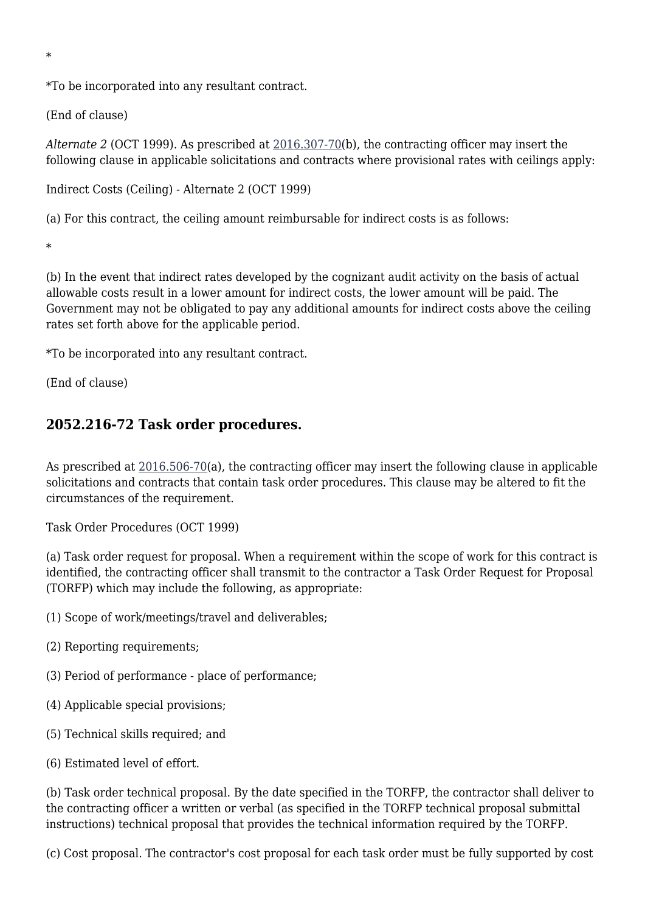\*

\*To be incorporated into any resultant contract.

(End of clause)

*Alternate 2* (OCT 1999). As prescribed at [2016.307-70](https://origin-www.acquisition.gov/%5Brp:link:nrcar-part-2016%5D#Section_2016_307_70_T48_6063312111)(b), the contracting officer may insert the following clause in applicable solicitations and contracts where provisional rates with ceilings apply:

Indirect Costs (Ceiling) - Alternate 2 (OCT 1999)

(a) For this contract, the ceiling amount reimbursable for indirect costs is as follows:

\*

(b) In the event that indirect rates developed by the cognizant audit activity on the basis of actual allowable costs result in a lower amount for indirect costs, the lower amount will be paid. The Government may not be obligated to pay any additional amounts for indirect costs above the ceiling rates set forth above for the applicable period.

\*To be incorporated into any resultant contract.

(End of clause)

#### **2052.216-72 Task order procedures.**

As prescribed at  $2016.506-70(a)$ , the contracting officer may insert the following clause in applicable solicitations and contracts that contain task order procedures. This clause may be altered to fit the circumstances of the requirement.

Task Order Procedures (OCT 1999)

(a) Task order request for proposal. When a requirement within the scope of work for this contract is identified, the contracting officer shall transmit to the contractor a Task Order Request for Proposal (TORFP) which may include the following, as appropriate:

(1) Scope of work/meetings/travel and deliverables;

- (2) Reporting requirements;
- (3) Period of performance place of performance;
- (4) Applicable special provisions;
- (5) Technical skills required; and
- (6) Estimated level of effort.

(b) Task order technical proposal. By the date specified in the TORFP, the contractor shall deliver to the contracting officer a written or verbal (as specified in the TORFP technical proposal submittal instructions) technical proposal that provides the technical information required by the TORFP.

(c) Cost proposal. The contractor's cost proposal for each task order must be fully supported by cost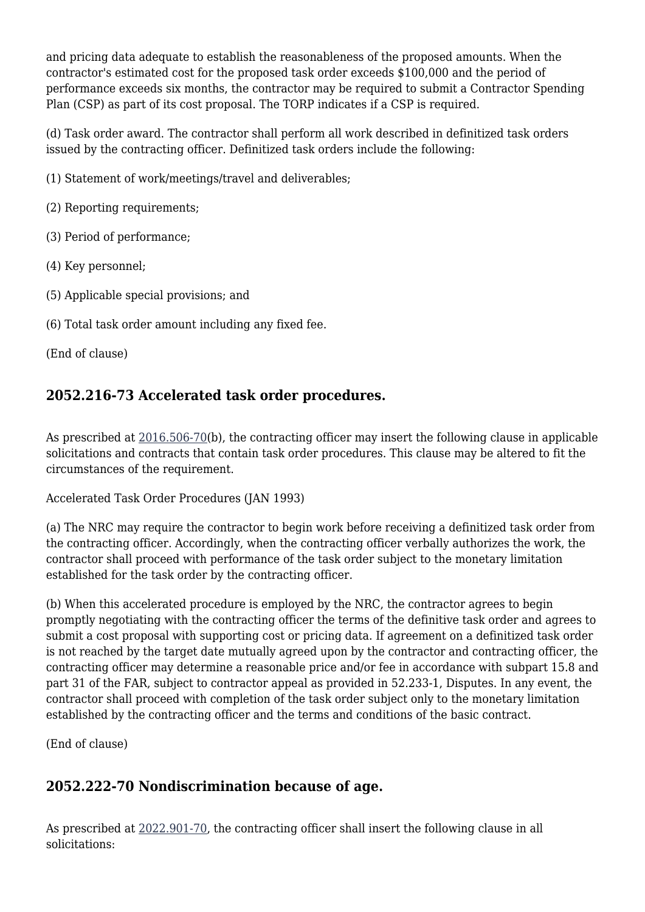and pricing data adequate to establish the reasonableness of the proposed amounts. When the contractor's estimated cost for the proposed task order exceeds \$100,000 and the period of performance exceeds six months, the contractor may be required to submit a Contractor Spending Plan (CSP) as part of its cost proposal. The TORP indicates if a CSP is required.

(d) Task order award. The contractor shall perform all work described in definitized task orders issued by the contracting officer. Definitized task orders include the following:

(1) Statement of work/meetings/travel and deliverables;

(2) Reporting requirements;

(3) Period of performance;

(4) Key personnel;

- (5) Applicable special provisions; and
- (6) Total task order amount including any fixed fee.

(End of clause)

### **2052.216-73 Accelerated task order procedures.**

As prescribed at [2016.506-70](https://origin-www.acquisition.gov/%5Brp:link:nrcar-part-2016%5D#Section_2016_506_70_T48_6063312211)(b), the contracting officer may insert the following clause in applicable solicitations and contracts that contain task order procedures. This clause may be altered to fit the circumstances of the requirement.

Accelerated Task Order Procedures (JAN 1993)

(a) The NRC may require the contractor to begin work before receiving a definitized task order from the contracting officer. Accordingly, when the contracting officer verbally authorizes the work, the contractor shall proceed with performance of the task order subject to the monetary limitation established for the task order by the contracting officer.

(b) When this accelerated procedure is employed by the NRC, the contractor agrees to begin promptly negotiating with the contracting officer the terms of the definitive task order and agrees to submit a cost proposal with supporting cost or pricing data. If agreement on a definitized task order is not reached by the target date mutually agreed upon by the contractor and contracting officer, the contracting officer may determine a reasonable price and/or fee in accordance with subpart 15.8 and part 31 of the FAR, subject to contractor appeal as provided in 52.233-1, Disputes. In any event, the contractor shall proceed with completion of the task order subject only to the monetary limitation established by the contracting officer and the terms and conditions of the basic contract.

(End of clause)

## **2052.222-70 Nondiscrimination because of age.**

As prescribed at [2022.901-70](https://origin-www.acquisition.gov/%5Brp:link:nrcar-part-2022%5D#Section_2022_901_70_T48_6063415211), the contracting officer shall insert the following clause in all solicitations: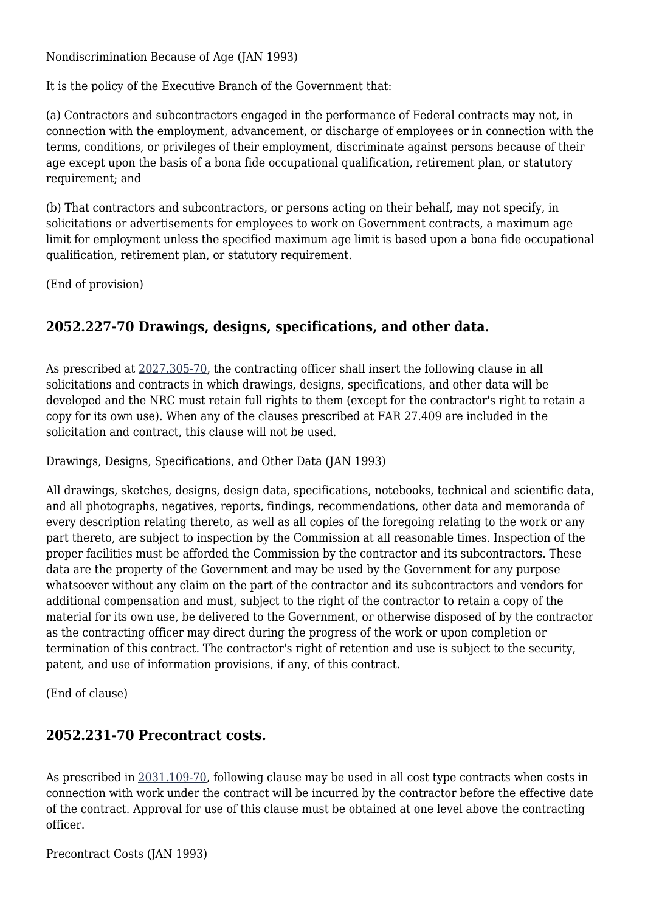Nondiscrimination Because of Age (JAN 1993)

It is the policy of the Executive Branch of the Government that:

(a) Contractors and subcontractors engaged in the performance of Federal contracts may not, in connection with the employment, advancement, or discharge of employees or in connection with the terms, conditions, or privileges of their employment, discriminate against persons because of their age except upon the basis of a bona fide occupational qualification, retirement plan, or statutory requirement; and

(b) That contractors and subcontractors, or persons acting on their behalf, may not specify, in solicitations or advertisements for employees to work on Government contracts, a maximum age limit for employment unless the specified maximum age limit is based upon a bona fide occupational qualification, retirement plan, or statutory requirement.

(End of provision)

#### **2052.227-70 Drawings, designs, specifications, and other data.**

As prescribed at [2027.305-70](https://origin-www.acquisition.gov/%5Brp:link:nrcar-part-2027%5D#Section_2027_305_70_T48_6063517112), the contracting officer shall insert the following clause in all solicitations and contracts in which drawings, designs, specifications, and other data will be developed and the NRC must retain full rights to them (except for the contractor's right to retain a copy for its own use). When any of the clauses prescribed at FAR 27.409 are included in the solicitation and contract, this clause will not be used.

Drawings, Designs, Specifications, and Other Data (JAN 1993)

All drawings, sketches, designs, design data, specifications, notebooks, technical and scientific data, and all photographs, negatives, reports, findings, recommendations, other data and memoranda of every description relating thereto, as well as all copies of the foregoing relating to the work or any part thereto, are subject to inspection by the Commission at all reasonable times. Inspection of the proper facilities must be afforded the Commission by the contractor and its subcontractors. These data are the property of the Government and may be used by the Government for any purpose whatsoever without any claim on the part of the contractor and its subcontractors and vendors for additional compensation and must, subject to the right of the contractor to retain a copy of the material for its own use, be delivered to the Government, or otherwise disposed of by the contractor as the contracting officer may direct during the progress of the work or upon completion or termination of this contract. The contractor's right of retention and use is subject to the security, patent, and use of information provisions, if any, of this contract.

(End of clause)

#### **2052.231-70 Precontract costs.**

As prescribed in [2031.109-70,](https://origin-www.acquisition.gov/%5Brp:link:nrcar-part-2031%5D#Section_2031_109_70_T48_6063519111) following clause may be used in all cost type contracts when costs in connection with work under the contract will be incurred by the contractor before the effective date of the contract. Approval for use of this clause must be obtained at one level above the contracting officer.

Precontract Costs (JAN 1993)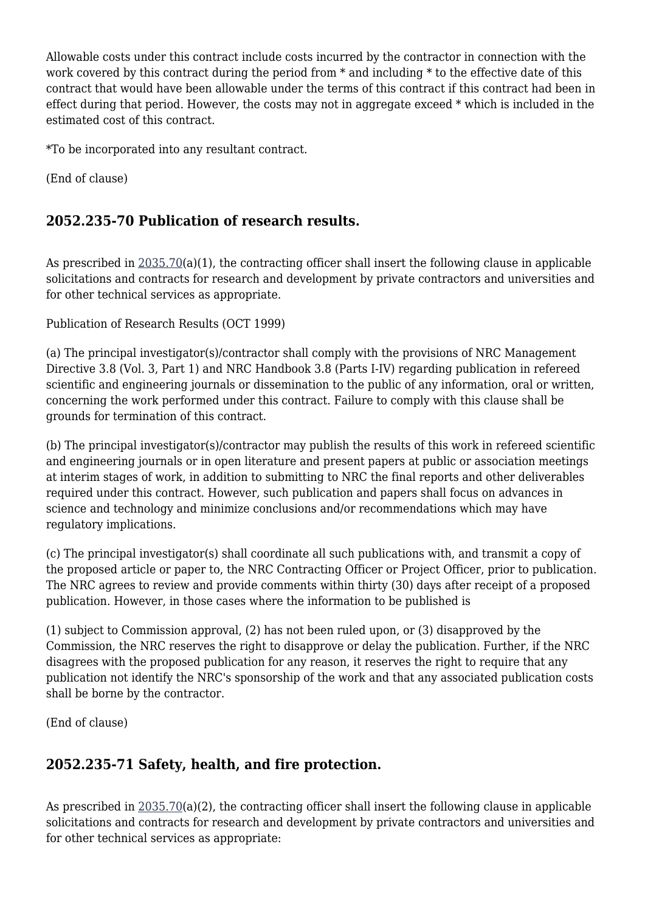Allowable costs under this contract include costs incurred by the contractor in connection with the work covered by this contract during the period from \* and including \* to the effective date of this contract that would have been allowable under the terms of this contract if this contract had been in effect during that period. However, the costs may not in aggregate exceed \* which is included in the estimated cost of this contract.

\*To be incorporated into any resultant contract.

(End of clause)

## **2052.235-70 Publication of research results.**

As prescribed in [2035.70\(](https://origin-www.acquisition.gov/%5Brp:link:nrcar-part-2035%5D#Section_2035_70_T48_6063622011)a)(1), the contracting officer shall insert the following clause in applicable solicitations and contracts for research and development by private contractors and universities and for other technical services as appropriate.

Publication of Research Results (OCT 1999)

(a) The principal investigator(s)/contractor shall comply with the provisions of NRC Management Directive 3.8 (Vol. 3, Part 1) and NRC Handbook 3.8 (Parts I-IV) regarding publication in refereed scientific and engineering journals or dissemination to the public of any information, oral or written, concerning the work performed under this contract. Failure to comply with this clause shall be grounds for termination of this contract.

(b) The principal investigator(s)/contractor may publish the results of this work in refereed scientific and engineering journals or in open literature and present papers at public or association meetings at interim stages of work, in addition to submitting to NRC the final reports and other deliverables required under this contract. However, such publication and papers shall focus on advances in science and technology and minimize conclusions and/or recommendations which may have regulatory implications.

(c) The principal investigator(s) shall coordinate all such publications with, and transmit a copy of the proposed article or paper to, the NRC Contracting Officer or Project Officer, prior to publication. The NRC agrees to review and provide comments within thirty (30) days after receipt of a proposed publication. However, in those cases where the information to be published is

(1) subject to Commission approval, (2) has not been ruled upon, or (3) disapproved by the Commission, the NRC reserves the right to disapprove or delay the publication. Further, if the NRC disagrees with the proposed publication for any reason, it reserves the right to require that any publication not identify the NRC's sponsorship of the work and that any associated publication costs shall be borne by the contractor.

(End of clause)

#### **2052.235-71 Safety, health, and fire protection.**

As prescribed in [2035.70\(](https://origin-www.acquisition.gov/%5Brp:link:nrcar-part-2035%5D#Section_2035_70_T48_6063622011)a)(2), the contracting officer shall insert the following clause in applicable solicitations and contracts for research and development by private contractors and universities and for other technical services as appropriate: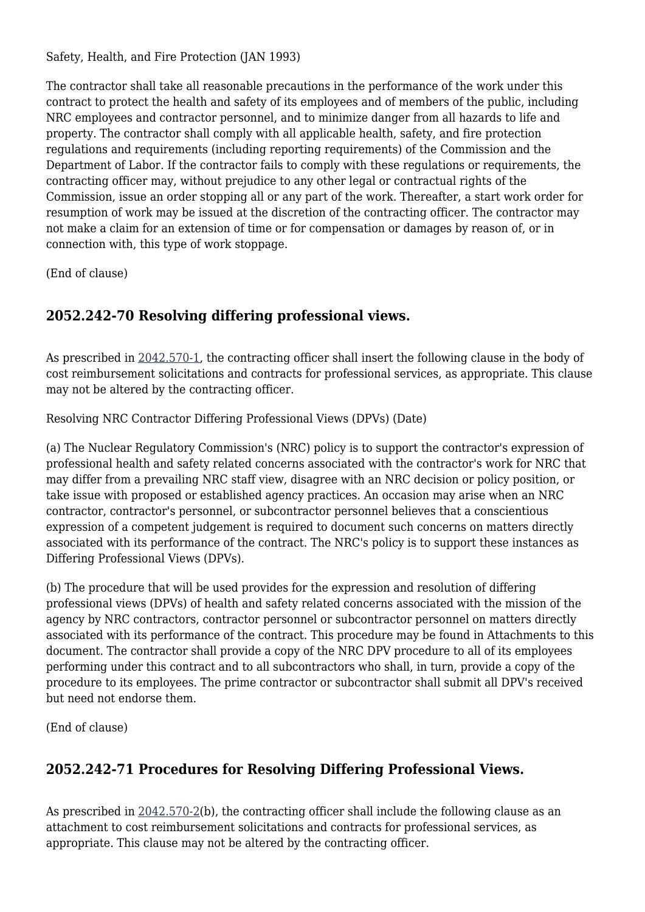Safety, Health, and Fire Protection (JAN 1993)

The contractor shall take all reasonable precautions in the performance of the work under this contract to protect the health and safety of its employees and of members of the public, including NRC employees and contractor personnel, and to minimize danger from all hazards to life and property. The contractor shall comply with all applicable health, safety, and fire protection regulations and requirements (including reporting requirements) of the Commission and the Department of Labor. If the contractor fails to comply with these regulations or requirements, the contracting officer may, without prejudice to any other legal or contractual rights of the Commission, issue an order stopping all or any part of the work. Thereafter, a start work order for resumption of work may be issued at the discretion of the contracting officer. The contractor may not make a claim for an extension of time or for compensation or damages by reason of, or in connection with, this type of work stoppage.

(End of clause)

#### **2052.242-70 Resolving differing professional views.**

As prescribed in [2042.570-1,](https://origin-www.acquisition.gov/%5Brp:link:nrcar-part-2042%5D#Section_2042_570_1_T48_6063723111) the contracting officer shall insert the following clause in the body of cost reimbursement solicitations and contracts for professional services, as appropriate. This clause may not be altered by the contracting officer.

Resolving NRC Contractor Differing Professional Views (DPVs) (Date)

(a) The Nuclear Regulatory Commission's (NRC) policy is to support the contractor's expression of professional health and safety related concerns associated with the contractor's work for NRC that may differ from a prevailing NRC staff view, disagree with an NRC decision or policy position, or take issue with proposed or established agency practices. An occasion may arise when an NRC contractor, contractor's personnel, or subcontractor personnel believes that a conscientious expression of a competent judgement is required to document such concerns on matters directly associated with its performance of the contract. The NRC's policy is to support these instances as Differing Professional Views (DPVs).

(b) The procedure that will be used provides for the expression and resolution of differing professional views (DPVs) of health and safety related concerns associated with the mission of the agency by NRC contractors, contractor personnel or subcontractor personnel on matters directly associated with its performance of the contract. This procedure may be found in Attachments to this document. The contractor shall provide a copy of the NRC DPV procedure to all of its employees performing under this contract and to all subcontractors who shall, in turn, provide a copy of the procedure to its employees. The prime contractor or subcontractor shall submit all DPV's received but need not endorse them.

(End of clause)

#### **2052.242-71 Procedures for Resolving Differing Professional Views.**

As prescribed in [2042.570-2\(](https://origin-www.acquisition.gov/%5Brp:link:nrcar-part-2042%5D#Section_2042_570_2_T48_6063723112)b), the contracting officer shall include the following clause as an attachment to cost reimbursement solicitations and contracts for professional services, as appropriate. This clause may not be altered by the contracting officer.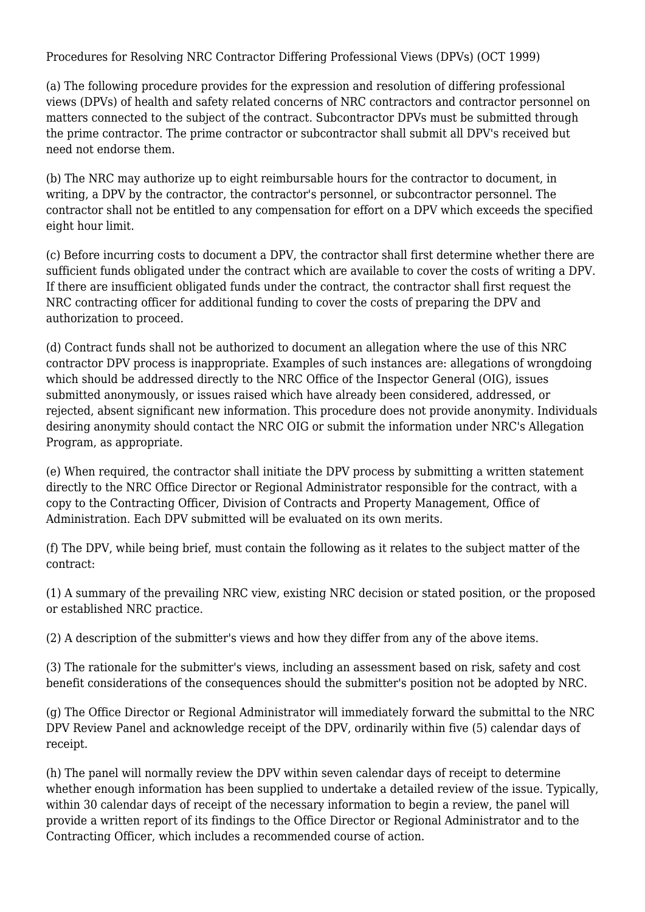Procedures for Resolving NRC Contractor Differing Professional Views (DPVs) (OCT 1999)

(a) The following procedure provides for the expression and resolution of differing professional views (DPVs) of health and safety related concerns of NRC contractors and contractor personnel on matters connected to the subject of the contract. Subcontractor DPVs must be submitted through the prime contractor. The prime contractor or subcontractor shall submit all DPV's received but need not endorse them.

(b) The NRC may authorize up to eight reimbursable hours for the contractor to document, in writing, a DPV by the contractor, the contractor's personnel, or subcontractor personnel. The contractor shall not be entitled to any compensation for effort on a DPV which exceeds the specified eight hour limit.

(c) Before incurring costs to document a DPV, the contractor shall first determine whether there are sufficient funds obligated under the contract which are available to cover the costs of writing a DPV. If there are insufficient obligated funds under the contract, the contractor shall first request the NRC contracting officer for additional funding to cover the costs of preparing the DPV and authorization to proceed.

(d) Contract funds shall not be authorized to document an allegation where the use of this NRC contractor DPV process is inappropriate. Examples of such instances are: allegations of wrongdoing which should be addressed directly to the NRC Office of the Inspector General (OIG), issues submitted anonymously, or issues raised which have already been considered, addressed, or rejected, absent significant new information. This procedure does not provide anonymity. Individuals desiring anonymity should contact the NRC OIG or submit the information under NRC's Allegation Program, as appropriate.

(e) When required, the contractor shall initiate the DPV process by submitting a written statement directly to the NRC Office Director or Regional Administrator responsible for the contract, with a copy to the Contracting Officer, Division of Contracts and Property Management, Office of Administration. Each DPV submitted will be evaluated on its own merits.

(f) The DPV, while being brief, must contain the following as it relates to the subject matter of the contract:

(1) A summary of the prevailing NRC view, existing NRC decision or stated position, or the proposed or established NRC practice.

(2) A description of the submitter's views and how they differ from any of the above items.

(3) The rationale for the submitter's views, including an assessment based on risk, safety and cost benefit considerations of the consequences should the submitter's position not be adopted by NRC.

(g) The Office Director or Regional Administrator will immediately forward the submittal to the NRC DPV Review Panel and acknowledge receipt of the DPV, ordinarily within five (5) calendar days of receipt.

(h) The panel will normally review the DPV within seven calendar days of receipt to determine whether enough information has been supplied to undertake a detailed review of the issue. Typically, within 30 calendar days of receipt of the necessary information to begin a review, the panel will provide a written report of its findings to the Office Director or Regional Administrator and to the Contracting Officer, which includes a recommended course of action.